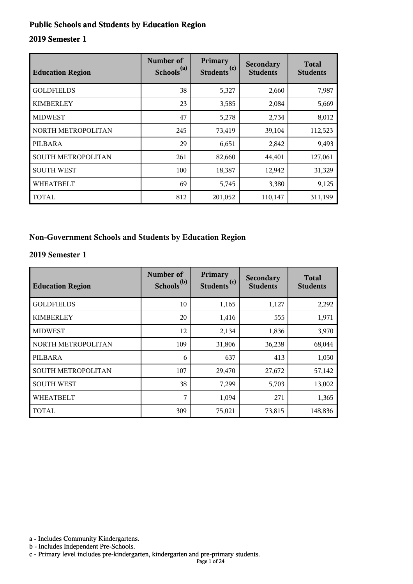#### **Public Schools and Students by Education Region**

#### **2019 Semester 1**

| <b>Education Region</b> | Number of<br>Schools <sup>(a)</sup> | Primary<br>(c)<br><b>Students</b> | Secondary<br><b>Students</b> | <b>Total</b><br><b>Students</b> |
|-------------------------|-------------------------------------|-----------------------------------|------------------------------|---------------------------------|
| <b>GOLDFIELDS</b>       | 38                                  | 5,327                             | 2,660                        | 7,987                           |
| <b>KIMBERLEY</b>        | 23                                  | 3,585                             | 2,084                        | 5,669                           |
| <b>MIDWEST</b>          | 47                                  | 5,278                             | 2,734                        | 8,012                           |
| NORTH METROPOLITAN      | 245                                 | 73,419                            | 39,104                       | 112,523                         |
| PILBARA                 | 29                                  | 6,651                             | 2,842                        | 9,493                           |
| SOUTH METROPOLITAN      | 261                                 | 82,660                            | 44,401                       | 127,061                         |
| <b>SOUTH WEST</b>       | 100                                 | 18,387                            | 12,942                       | 31,329                          |
| <b>WHEATBELT</b>        | 69                                  | 5,745                             | 3,380                        | 9,125                           |
| TOTAL                   | 812                                 | 201,052                           | 110,147                      | 311,199                         |

#### **Non-Government Schools and Students by Education Region**

#### **2019 Semester 1**

| <b>Education Region</b> | Number of<br>Schools <sup>(b)</sup> | Primary<br>Students <sup>(c)</sup> | Secondary<br><b>Students</b> | <b>Total</b><br><b>Students</b> |
|-------------------------|-------------------------------------|------------------------------------|------------------------------|---------------------------------|
| <b>GOLDFIELDS</b>       | 10                                  | 1,165                              | 1,127                        | 2,292                           |
| <b>KIMBERLEY</b>        | 20                                  | 1,416                              | 555                          | 1,971                           |
| <b>MIDWEST</b>          | 12                                  | 2,134                              | 1,836                        | 3,970                           |
| NORTH METROPOLITAN      | 109                                 | 31,806                             | 36,238                       | 68,044                          |
| PILBARA                 | 6                                   | 637                                | 413                          | 1,050                           |
| SOUTH METROPOLITAN      | 107                                 | 29,470                             | 27,672                       | 57,142                          |
| <b>SOUTH WEST</b>       | 38                                  | 7,299                              | 5,703                        | 13,002                          |
| <b>WHEATBELT</b>        | 7                                   | 1,094                              | 271                          | 1,365                           |
| <b>TOTAL</b>            | 309                                 | 75,021                             | 73,815                       | 148,836                         |

a - Includes Community Kindergartens.

b - Includes Independent Pre-Schools.

c - Primary level includes pre-kindergarten, kindergarten and pre-primary students.

Page 1 of 24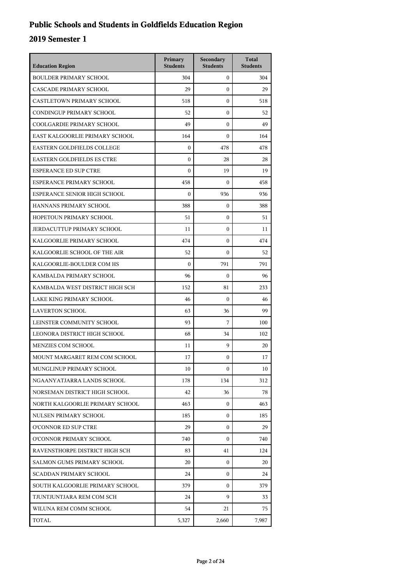## **Public Schools and Students in Goldfields Education Region**

| <b>Education Region</b>           | Primary<br><b>Students</b> | Secondary<br><b>Students</b> | <b>Total</b><br><b>Students</b> |
|-----------------------------------|----------------------------|------------------------------|---------------------------------|
| <b>BOULDER PRIMARY SCHOOL</b>     | 304                        | $\mathbf{0}$                 | 304                             |
| CASCADE PRIMARY SCHOOL            | 29                         | $\mathbf{0}$                 | 29                              |
| CASTLETOWN PRIMARY SCHOOL         | 518                        | $\mathbf{0}$                 | 518                             |
| CONDINGUP PRIMARY SCHOOL          | 52                         | $\boldsymbol{0}$             | 52                              |
| COOLGARDIE PRIMARY SCHOOL         | 49                         | $\boldsymbol{0}$             | 49                              |
| EAST KALGOORLIE PRIMARY SCHOOL    | 164                        | $\boldsymbol{0}$             | 164                             |
| EASTERN GOLDFIELDS COLLEGE        | $\mathbf{0}$               | 478                          | 478                             |
| <b>EASTERN GOLDFIELDS ES CTRE</b> | $\mathbf{0}$               | 28                           | 28                              |
| <b>ESPERANCE ED SUP CTRE</b>      | $\boldsymbol{0}$           | 19                           | 19                              |
| ESPERANCE PRIMARY SCHOOL          | 458                        | $\boldsymbol{0}$             | 458                             |
| ESPERANCE SENIOR HIGH SCHOOL      | $\boldsymbol{0}$           | 936                          | 936                             |
| HANNANS PRIMARY SCHOOL            | 388                        | $\mathbf{0}$                 | 388                             |
| HOPETOUN PRIMARY SCHOOL           | 51                         | $\mathbf{0}$                 | 51                              |
| JERDACUTTUP PRIMARY SCHOOL        | 11                         | $\boldsymbol{0}$             | 11                              |
| KALGOORLIE PRIMARY SCHOOL         | 474                        | $\boldsymbol{0}$             | 474                             |
| KALGOORLIE SCHOOL OF THE AIR      | 52                         | $\boldsymbol{0}$             | 52                              |
| KALGOORLIE-BOULDER COM HS         | $\theta$                   | 791                          | 791                             |
| KAMBALDA PRIMARY SCHOOL           | 96                         | $\boldsymbol{0}$             | 96                              |
| KAMBALDA WEST DISTRICT HIGH SCH   | 152                        | 81                           | 233                             |
| LAKE KING PRIMARY SCHOOL          | 46                         | $\boldsymbol{0}$             | 46                              |
| <b>LAVERTON SCHOOL</b>            | 63                         | 36                           | 99                              |
| LEINSTER COMMUNITY SCHOOL         | 93                         | 7                            | 100                             |
| LEONORA DISTRICT HIGH SCHOOL      | 68                         | 34                           | 102                             |
| MENZIES COM SCHOOL                | 11                         | 9                            | 20                              |
| MOUNT MARGARET REM COM SCHOOL     | 17                         | $\boldsymbol{0}$             | 17                              |
| MUNGLINUP PRIMARY SCHOOL          | 10                         | $\mathbf{0}$                 | 10                              |
| NGAANYATJARRA LANDS SCHOOL        | 178                        | 134                          | 312                             |
| NORSEMAN DISTRICT HIGH SCHOOL     | 42                         | 36                           | 78                              |
| NORTH KALGOORLIE PRIMARY SCHOOL   | 463                        | $\mathbf{0}$                 | 463                             |
| NULSEN PRIMARY SCHOOL             | 185                        | 0                            | 185                             |
| O'CONNOR ED SUP CTRE              | 29                         | 0                            | 29                              |
| O'CONNOR PRIMARY SCHOOL           | 740                        | $\Omega$                     | 740                             |
| RAVENSTHORPE DISTRICT HIGH SCH    | 83                         | 41                           | 124                             |
| SALMON GUMS PRIMARY SCHOOL        | 20                         | $\mathbf{0}$                 | 20                              |
| <b>SCADDAN PRIMARY SCHOOL</b>     | 24                         | 0                            | 24                              |
| SOUTH KALGOORLIE PRIMARY SCHOOL   | 379                        | $\mathbf{0}$                 | 379                             |
| TJUNTJUNTJARA REM COM SCH         | 24                         | 9                            | 33                              |
| WILUNA REM COMM SCHOOL            | 54                         | 21                           | 75                              |
| TOTAL                             | 5,327                      | 2,660                        | 7,987                           |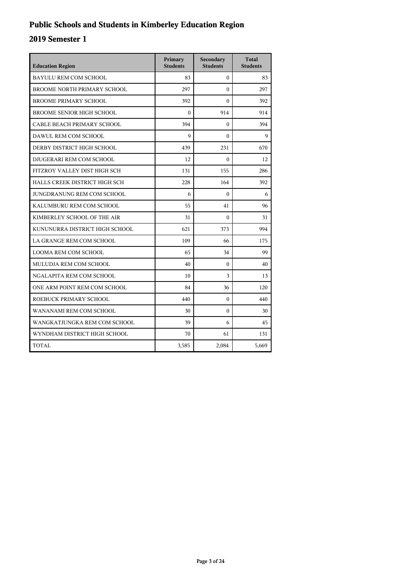## **Public Schools and Students in Kimberley Education Region**

| <b>Education Region</b>          | Primary<br><b>Students</b> | Secondary<br><b>Students</b> | <b>Total</b><br><b>Students</b> |
|----------------------------------|----------------------------|------------------------------|---------------------------------|
| <b>BAYULU REM COM SCHOOL</b>     | 83                         | $\mathbf{0}$                 | 83                              |
| BROOME NORTH PRIMARY SCHOOL      | 297                        | $\theta$                     | 297                             |
| <b>BROOME PRIMARY SCHOOL</b>     | 392                        | $\Omega$                     | 392                             |
| <b>BROOME SENIOR HIGH SCHOOL</b> | $\theta$                   | 914                          | 914                             |
| CABLE BEACH PRIMARY SCHOOL       | 394                        | $\Omega$                     | 394                             |
| DAWUL REM COM SCHOOL             | 9                          | $\theta$                     | 9                               |
| DERBY DISTRICT HIGH SCHOOL       | 439                        | 231                          | 670                             |
| DJUGERARI REM COM SCHOOL         | 12                         | $\mathbf{0}$                 | 12                              |
| FITZROY VALLEY DIST HIGH SCH     | 131                        | 155                          | 286                             |
| HALLS CREEK DISTRICT HIGH SCH    | 228                        | 164                          | 392                             |
| JUNGDRANUNG REM COM SCHOOL       | 6                          | $\Omega$                     | 6                               |
| KALUMBURU REM COM SCHOOL         | 55                         | 41                           | 96                              |
| KIMBERLEY SCHOOL OF THE AIR      | 31                         | $\Omega$                     | 31                              |
| KUNUNURRA DISTRICT HIGH SCHOOL   | 621                        | 373                          | 994                             |
| LA GRANGE REM COM SCHOOL         | 109                        | 66                           | 175                             |
| <b>LOOMA REM COM SCHOOL</b>      | 65                         | 34                           | 99                              |
| MULUDJA REM COM SCHOOL           | 40                         | $\mathbf{0}$                 | 40                              |
| NGALAPITA REM COM SCHOOL         | 10                         | 3                            | 13                              |
| ONE ARM POINT REM COM SCHOOL     | 84                         | 36                           | 120                             |
| ROEBUCK PRIMARY SCHOOL           | 440                        | $\Omega$                     | 440                             |
| WANANAMI REM COM SCHOOL          | 30                         | $\mathbf{0}$                 | 30                              |
| WANGKATJUNGKA REM COM SCHOOL     | 39                         | 6                            | 45                              |
| WYNDHAM DISTRICT HIGH SCHOOL     | 70                         | 61                           | 131                             |
| TOTAL                            | 3,585                      | 2,084                        | 5,669                           |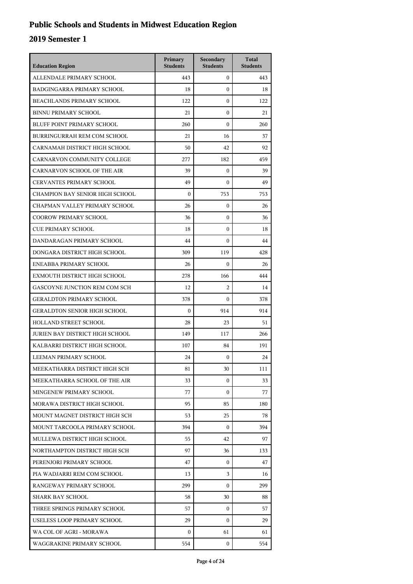## **Public Schools and Students in Midwest Education Region**

| <b>Education Region</b>                | Primary<br><b>Students</b> | Secondary<br><b>Students</b> | <b>Total</b><br><b>Students</b> |
|----------------------------------------|----------------------------|------------------------------|---------------------------------|
| ALLENDALE PRIMARY SCHOOL               | 443                        | $\mathbf{0}$                 | 443                             |
| <b>BADGINGARRA PRIMARY SCHOOL</b>      | 18                         | $\mathbf{0}$                 | 18                              |
| BEACHLANDS PRIMARY SCHOOL              | 122                        | $\mathbf{0}$                 | 122                             |
| <b>BINNU PRIMARY SCHOOL</b>            | 21                         | $\boldsymbol{0}$             | 21                              |
| BLUFF POINT PRIMARY SCHOOL             | 260                        | $\boldsymbol{0}$             | 260                             |
| BURRINGURRAH REM COM SCHOOL            | 21                         | 16                           | 37                              |
| CARNAMAH DISTRICT HIGH SCHOOL          | 50                         | 42                           | 92                              |
| CARNARVON COMMUNITY COLLEGE            | 277                        | 182                          | 459                             |
| CARNARVON SCHOOL OF THE AIR            | 39                         | $\boldsymbol{0}$             | 39                              |
| <b>CERVANTES PRIMARY SCHOOL</b>        | 49                         | $\boldsymbol{0}$             | 49                              |
| CHAMPION BAY SENIOR HIGH SCHOOL        | $\mathbf{0}$               | 753                          | 753                             |
| CHAPMAN VALLEY PRIMARY SCHOOL          | 26                         | $\mathbf{0}$                 | 26                              |
| <b>COOROW PRIMARY SCHOOL</b>           | 36                         | $\mathbf{0}$                 | 36                              |
| <b>CUE PRIMARY SCHOOL</b>              | 18                         | $\boldsymbol{0}$             | 18                              |
| DANDARAGAN PRIMARY SCHOOL              | 44                         | $\boldsymbol{0}$             | 44                              |
| DONGARA DISTRICT HIGH SCHOOL           | 309                        | 119                          | 428                             |
| ENEABBA PRIMARY SCHOOL                 | 26                         | $\theta$                     | 26                              |
| EXMOUTH DISTRICT HIGH SCHOOL           | 278                        | 166                          | 444                             |
| GASCOYNE JUNCTION REM COM SCH          | 12                         | $\overline{2}$               | 14                              |
| <b>GERALDTON PRIMARY SCHOOL</b>        | 378                        | $\Omega$                     | 378                             |
| <b>GERALDTON SENIOR HIGH SCHOOL</b>    | $\boldsymbol{0}$           | 914                          | 914                             |
| <b>HOLLAND STREET SCHOOL</b>           | 28                         | 23                           | 51                              |
| <b>JURIEN BAY DISTRICT HIGH SCHOOL</b> | 149                        | 117                          | 266                             |
| KALBARRI DISTRICT HIGH SCHOOL          | 107                        | 84                           | 191                             |
| LEEMAN PRIMARY SCHOOL                  | 24                         | $\mathbf{0}$                 | 24                              |
| MEEKATHARRA DISTRICT HIGH SCH          | 81                         | 30                           | 111                             |
| MEEKATHARRA SCHOOL OF THE AIR          | 33                         | $\mathbf{0}$                 | 33                              |
| MINGENEW PRIMARY SCHOOL                | 77                         | $\mathbf{0}$                 | 77                              |
| MORAWA DISTRICT HIGH SCHOOL            | 95                         | 85                           | 180                             |
| MOUNT MAGNET DISTRICT HIGH SCH         | 53                         | 25                           | 78                              |
| MOUNT TARCOOLA PRIMARY SCHOOL          | 394                        | $\Omega$                     | 394                             |
| MULLEWA DISTRICT HIGH SCHOOL           | 55                         | 42                           | 97                              |
| NORTHAMPTON DISTRICT HIGH SCH          | 97                         | 36                           | 133                             |
| PERENJORI PRIMARY SCHOOL               | 47                         | 0                            | 47                              |
| PIA WADJARRI REM COM SCHOOL            | 13                         | 3                            | 16                              |
| RANGEWAY PRIMARY SCHOOL                | 299                        | $\Omega$                     | 299                             |
| SHARK BAY SCHOOL                       | 58                         | 30                           | 88                              |
| THREE SPRINGS PRIMARY SCHOOL           | 57                         | 0                            | 57                              |
| USELESS LOOP PRIMARY SCHOOL            | 29                         | $\mathbf{0}$                 | 29                              |
| WA COL OF AGRI - MORAWA                | 0                          | 61                           | 61                              |
| WAGGRAKINE PRIMARY SCHOOL              | 554                        | 0                            | 554                             |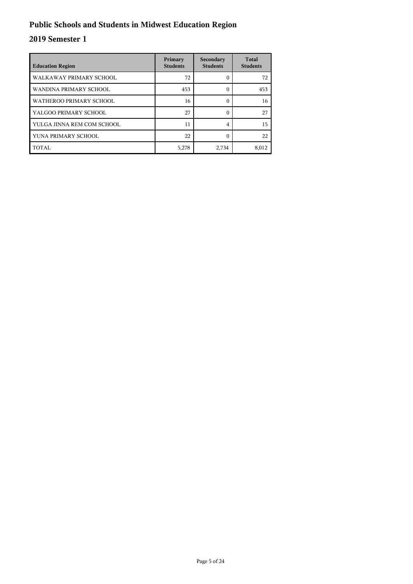## **Public Schools and Students in Midwest Education Region**

| <b>Education Region</b>    | Primary<br><b>Students</b> | Secondary<br><b>Students</b> | <b>Total</b><br><b>Students</b> |
|----------------------------|----------------------------|------------------------------|---------------------------------|
| WALKAWAY PRIMARY SCHOOL    | 72                         | 0                            | 72                              |
| WANDINA PRIMARY SCHOOL     | 453                        | 0                            | 453                             |
| WATHEROO PRIMARY SCHOOL    | 16                         | 0                            | 16                              |
| YALGOO PRIMARY SCHOOL      | 27                         | 0                            | 27                              |
| YULGA JINNA REM COM SCHOOL | 11                         | 4                            | 15                              |
| YUNA PRIMARY SCHOOL        | 22                         | ſ                            | 22                              |
| TOTAL                      | 5,278                      | 2,734                        | 8,012                           |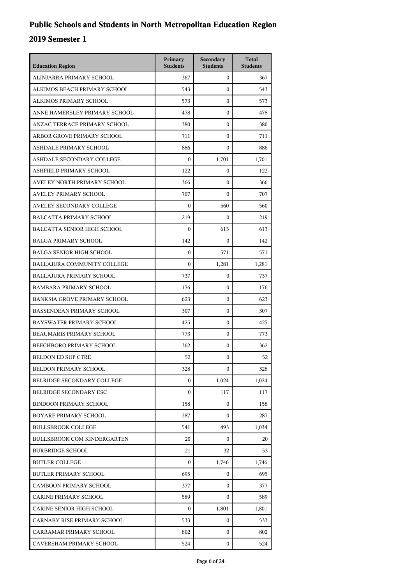| <b>Education Region</b>             | Primary<br><b>Students</b> | Secondary<br><b>Students</b> | <b>Total</b><br><b>Students</b> |
|-------------------------------------|----------------------------|------------------------------|---------------------------------|
| ALINJARRA PRIMARY SCHOOL            | 367                        | $\mathbf{0}$                 | 367                             |
| ALKIMOS BEACH PRIMARY SCHOOL        | 543                        | $\mathbf{0}$                 | 543                             |
| ALKIMOS PRIMARY SCHOOL              | 573                        | $\mathbf{0}$                 | 573                             |
| ANNE HAMERSLEY PRIMARY SCHOOL       | 478                        | $\mathbf{0}$                 | 478                             |
| ANZAC TERRACE PRIMARY SCHOOL        | 380                        | 0                            | 380                             |
| ARBOR GROVE PRIMARY SCHOOL          | 711                        | $\mathbf{0}$                 | 711                             |
| ASHDALE PRIMARY SCHOOL              | 886                        | $\mathbf{0}$                 | 886                             |
| ASHDALE SECONDARY COLLEGE           | $\theta$                   | 1,701                        | 1,701                           |
| ASHFIELD PRIMARY SCHOOL             | 122                        | $\boldsymbol{0}$             | 122                             |
| AVELEY NORTH PRIMARY SCHOOL         | 366                        | 0                            | 366                             |
| AVELEY PRIMARY SCHOOL               | 707                        | $\mathbf{0}$                 | 707                             |
| AVELEY SECONDARY COLLEGE            | $\boldsymbol{0}$           | 560                          | 560                             |
| BALCATTA PRIMARY SCHOOL             | 219                        | $\mathbf{0}$                 | 219                             |
| <b>BALCATTA SENIOR HIGH SCHOOL</b>  | $\boldsymbol{0}$           | 613                          | 613                             |
| <b>BALGA PRIMARY SCHOOL</b>         | 142                        | 0                            | 142                             |
| <b>BALGA SENIOR HIGH SCHOOL</b>     | $\mathbf{0}$               | 571                          | 571                             |
| BALLAJURA COMMUNITY COLLEGE         | $\Omega$                   | 1,281                        | 1,281                           |
| <b>BALLAJURA PRIMARY SCHOOL</b>     | 737                        | $\mathbf{0}$                 | 737                             |
| <b>BAMBARA PRIMARY SCHOOL</b>       | 176                        | $\mathbf{0}$                 | 176                             |
| <b>BANKSIA GROVE PRIMARY SCHOOL</b> | 623                        | 0                            | 623                             |
| <b>BASSENDEAN PRIMARY SCHOOL</b>    | 307                        | $\mathbf{0}$                 | 307                             |
| <b>BAYSWATER PRIMARY SCHOOL</b>     | 425                        | $\mathbf{0}$                 | 425                             |
| BEAUMARIS PRIMARY SCHOOL            | 773                        | $\mathbf{0}$                 | 773                             |
| BEECHBORO PRIMARY SCHOOL            | 362                        | $\mathbf{0}$                 | 362                             |
| <b>BELDON ED SUP CTRE</b>           | 52                         | $\mathbf{0}$                 | 52                              |
| <b>BELDON PRIMARY SCHOOL</b>        | 328                        | $\mathbf{0}$                 | 328                             |
| BELRIDGE SECONDARY COLLEGE          | $\boldsymbol{0}$           | 1,024                        | 1,024                           |
| BELRIDGE SECONDARY ESC              | $\boldsymbol{0}$           | 117                          | 117                             |
| <b>BINDOON PRIMARY SCHOOL</b>       | 158                        | $\mathbf{0}$                 | 158                             |
| <b>BOYARE PRIMARY SCHOOL</b>        | 287                        | $\mathbf{0}$                 | 287                             |
| <b>BULLSBROOK COLLEGE</b>           | 541                        | 493                          | 1,034                           |
| <b>BULLSBROOK COM KINDERGARTEN</b>  | 20                         | $\overline{0}$               | 20                              |
| <b>BURBRIDGE SCHOOL</b>             | 21                         | 32                           | 53                              |
| <b>BUTLER COLLEGE</b>               | 0                          | 1,746                        | 1,746                           |
| <b>BUTLER PRIMARY SCHOOL</b>        | 695                        | $\mathbf{0}$                 | 695                             |
| <b>CAMBOON PRIMARY SCHOOL</b>       | 377                        | $\overline{0}$               | 377                             |
| CARINE PRIMARY SCHOOL               | 589                        | $\overline{0}$               | 589                             |
| CARINE SENIOR HIGH SCHOOL           | $\boldsymbol{0}$           | 1,801                        | 1,801                           |
| CARNABY RISE PRIMARY SCHOOL         | 533                        | $\mathbf{0}$                 | 533                             |
| CARRAMAR PRIMARY SCHOOL             | 802                        | $\mathbf{0}$                 | 802                             |
| CAVERSHAM PRIMARY SCHOOL            | 524                        | $\mathbf{0}$                 | 524                             |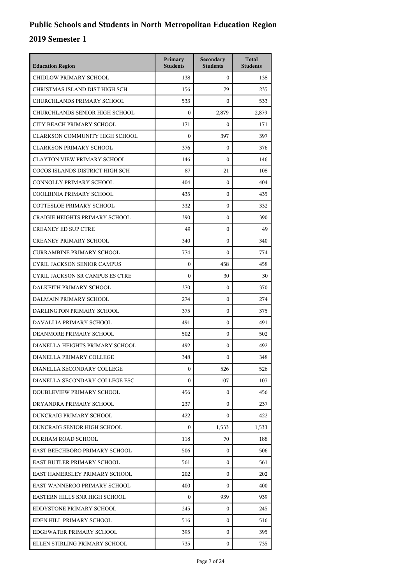| <b>Education Region</b>                | Primary<br><b>Students</b> | Secondary<br><b>Students</b> | <b>Total</b><br><b>Students</b> |
|----------------------------------------|----------------------------|------------------------------|---------------------------------|
| CHIDLOW PRIMARY SCHOOL                 | 138                        | $\mathbf{0}$                 | 138                             |
| CHRISTMAS ISLAND DIST HIGH SCH         | 156                        | 79                           | 235                             |
| CHURCHLANDS PRIMARY SCHOOL             | 533                        | $\boldsymbol{0}$             | 533                             |
| CHURCHLANDS SENIOR HIGH SCHOOL         | $\boldsymbol{0}$           | 2,879                        | 2,879                           |
| CITY BEACH PRIMARY SCHOOL              | 171                        | $\mathbf{0}$                 | 171                             |
| <b>CLARKSON COMMUNITY HIGH SCHOOL</b>  | $\mathbf{0}$               | 397                          | 397                             |
| <b>CLARKSON PRIMARY SCHOOL</b>         | 376                        | $\mathbf{0}$                 | 376                             |
| <b>CLAYTON VIEW PRIMARY SCHOOL</b>     | 146                        | $\mathbf{0}$                 | 146                             |
| COCOS ISLANDS DISTRICT HIGH SCH        | 87                         | 21                           | 108                             |
| CONNOLLY PRIMARY SCHOOL                | 404                        | $\mathbf{0}$                 | 404                             |
| COOLBINIA PRIMARY SCHOOL               | 435                        | $\mathbf{0}$                 | 435                             |
| <b>COTTESLOE PRIMARY SCHOOL</b>        | 332                        | $\mathbf{0}$                 | 332                             |
| <b>CRAIGIE HEIGHTS PRIMARY SCHOOL</b>  | 390                        | $\mathbf{0}$                 | 390                             |
| <b>CREANEY ED SUP CTRE</b>             | 49                         | $\mathbf{0}$                 | 49                              |
| <b>CREANEY PRIMARY SCHOOL</b>          | 340                        | $\mathbf{0}$                 | 340                             |
| <b>CURRAMBINE PRIMARY SCHOOL</b>       | 774                        | $\mathbf{0}$                 | 774                             |
| <b>CYRIL JACKSON SENIOR CAMPUS</b>     | $\boldsymbol{0}$           | 458                          | 458                             |
| <b>CYRIL JACKSON SR CAMPUS ES CTRE</b> | $\mathbf{0}$               | 30                           | 30                              |
| DALKEITH PRIMARY SCHOOL                | 370                        | $\mathbf{0}$                 | 370                             |
| DALMAIN PRIMARY SCHOOL                 | 274                        | 0                            | 274                             |
| DARLINGTON PRIMARY SCHOOL              | 375                        | $\mathbf{0}$                 | 375                             |
| DAVALLIA PRIMARY SCHOOL                | 491                        | $\mathbf{0}$                 | 491                             |
| DEANMORE PRIMARY SCHOOL                | 502                        | $\mathbf{0}$                 | 502                             |
| DIANELLA HEIGHTS PRIMARY SCHOOL        | 492                        | $\mathbf{0}$                 | 492                             |
| DIANELLA PRIMARY COLLEGE               | 348                        | $\mathbf{0}$                 | 348                             |
| DIANELLA SECONDARY COLLEGE             | $\boldsymbol{0}$           | 526                          | 526                             |
| DIANELLA SECONDARY COLLEGE ESC         | $\overline{0}$             | 107                          | 107                             |
| DOUBLEVIEW PRIMARY SCHOOL              | 456                        | $\mathbf{0}$                 | 456                             |
| DRYANDRA PRIMARY SCHOOL                | 237                        | 0                            | 237                             |
| DUNCRAIG PRIMARY SCHOOL                | 422                        | $\mathbf{0}$                 | 422                             |
| DUNCRAIG SENIOR HIGH SCHOOL            | $\mathbf{0}$               | 1,533                        | 1,533                           |
| DURHAM ROAD SCHOOL                     | 118                        | 70                           | 188                             |
| EAST BEECHBORO PRIMARY SCHOOL          | 506                        | 0                            | 506                             |
| EAST BUTLER PRIMARY SCHOOL             | 561                        | 0                            | 561                             |
| EAST HAMERSLEY PRIMARY SCHOOL          | 202                        | $\mathbf{0}$                 | 202                             |
| EAST WANNEROO PRIMARY SCHOOL           | 400                        | 0                            | 400                             |
| EASTERN HILLS SNR HIGH SCHOOL          | $\mathbf{0}$               | 939                          | 939                             |
| EDDYSTONE PRIMARY SCHOOL               | 245                        | 0                            | 245                             |
| EDEN HILL PRIMARY SCHOOL               | 516                        | 0                            | 516                             |
| EDGEWATER PRIMARY SCHOOL               | 395                        | $\mathbf{0}$                 | 395                             |
| ELLEN STIRLING PRIMARY SCHOOL          | 735                        | 0                            | 735                             |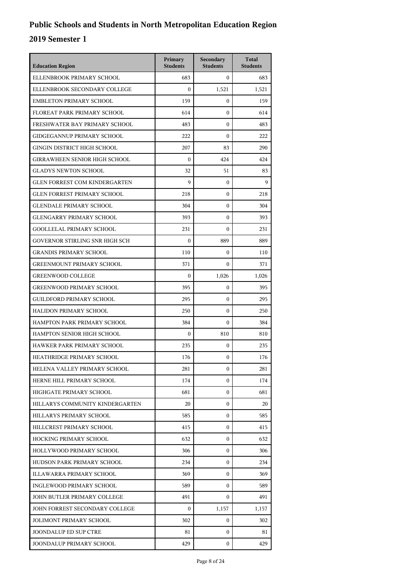| <b>Education Region</b>              | Primary<br><b>Students</b> | Secondary<br><b>Students</b> | <b>Total</b><br><b>Students</b> |
|--------------------------------------|----------------------------|------------------------------|---------------------------------|
| ELLENBROOK PRIMARY SCHOOL            | 683                        | $\Omega$                     | 683                             |
| ELLENBROOK SECONDARY COLLEGE         | $\boldsymbol{0}$           | 1,521                        | 1,521                           |
| <b>EMBLETON PRIMARY SCHOOL</b>       | 159                        | $\boldsymbol{0}$             | 159                             |
| FLOREAT PARK PRIMARY SCHOOL          | 614                        | $\boldsymbol{0}$             | 614                             |
| FRESHWATER BAY PRIMARY SCHOOL        | 483                        | $\boldsymbol{0}$             | 483                             |
| <b>GIDGEGANNUP PRIMARY SCHOOL</b>    | 222                        | $\Omega$                     | 222                             |
| <b>GINGIN DISTRICT HIGH SCHOOL</b>   | 207                        | 83                           | 290                             |
| <b>GIRRAWHEEN SENIOR HIGH SCHOOL</b> | $\mathbf{0}$               | 424                          | 424                             |
| <b>GLADYS NEWTON SCHOOL</b>          | 32                         | 51                           | 83                              |
| <b>GLEN FORREST COM KINDERGARTEN</b> | 9                          | $\boldsymbol{0}$             | 9                               |
| <b>GLEN FORREST PRIMARY SCHOOL</b>   | 218                        | $\mathbf{0}$                 | 218                             |
| <b>GLENDALE PRIMARY SCHOOL</b>       | 304                        | $\boldsymbol{0}$             | 304                             |
| <b>GLENGARRY PRIMARY SCHOOL</b>      | 393                        | $\boldsymbol{0}$             | 393                             |
| <b>GOOLLELAL PRIMARY SCHOOL</b>      | 231                        | $\boldsymbol{0}$             | 231                             |
| GOVERNOR STIRLING SNR HIGH SCH       | $\Omega$                   | 889                          | 889                             |
| <b>GRANDIS PRIMARY SCHOOL</b>        | 110                        | $\mathbf{0}$                 | 110                             |
| <b>GREENMOUNT PRIMARY SCHOOL</b>     | 371                        | $\boldsymbol{0}$             | 371                             |
| <b>GREENWOOD COLLEGE</b>             | $\mathbf{0}$               | 1,026                        | 1,026                           |
| <b>GREENWOOD PRIMARY SCHOOL</b>      | 395                        | $\boldsymbol{0}$             | 395                             |
| <b>GUILDFORD PRIMARY SCHOOL</b>      | 295                        | $\mathbf{0}$                 | 295                             |
| <b>HALIDON PRIMARY SCHOOL</b>        | 250                        | $\mathbf{0}$                 | 250                             |
| HAMPTON PARK PRIMARY SCHOOL          | 384                        | $\boldsymbol{0}$             | 384                             |
| HAMPTON SENIOR HIGH SCHOOL           | $\mathbf{0}$               | 810                          | 810                             |
| HAWKER PARK PRIMARY SCHOOL           | 235                        | $\boldsymbol{0}$             | 235                             |
| HEATHRIDGE PRIMARY SCHOOL            | 176                        | $\boldsymbol{0}$             | 176                             |
| HELENA VALLEY PRIMARY SCHOOL         | 281                        | 0                            | 281                             |
| HERNE HILL PRIMARY SCHOOL            | 174                        | $\mathbf{0}$                 | 174                             |
| HIGHGATE PRIMARY SCHOOL              | 681                        | $\mathbf{0}$                 | 681                             |
| HILLARYS COMMUNITY KINDERGARTEN      | 20                         | 0                            | 20                              |
| HILLARYS PRIMARY SCHOOL              | 585                        | 0                            | 585                             |
| HILLCREST PRIMARY SCHOOL             | 415                        | $\mathbf{0}$                 | 415                             |
| HOCKING PRIMARY SCHOOL               | 632                        | $\mathbf{0}$                 | 632                             |
| HOLLYWOOD PRIMARY SCHOOL             | 306                        | $\mathbf{0}$                 | 306                             |
| HUDSON PARK PRIMARY SCHOOL           | 234                        | 0                            | 234                             |
| ILLAWARRA PRIMARY SCHOOL             | 369                        | 0                            | 369                             |
| INGLEWOOD PRIMARY SCHOOL             | 589                        | $\mathbf{0}$                 | 589                             |
| JOHN BUTLER PRIMARY COLLEGE          | 491                        | $\mathbf{0}$                 | 491                             |
| JOHN FORREST SECONDARY COLLEGE       | $\mathbf{0}$               | 1,157                        | 1,157                           |
| <b>JOLIMONT PRIMARY SCHOOL</b>       | 302                        | 0                            | 302                             |
| <b>JOONDALUP ED SUP CTRE</b>         | 81                         | 0                            | 81                              |
| JOONDALUP PRIMARY SCHOOL             | 429                        | 0                            | 429                             |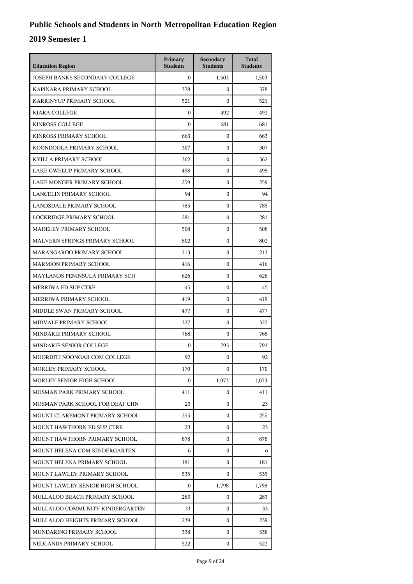| <b>Education Region</b>           | Primary<br><b>Students</b> | Secondary<br><b>Students</b> | <b>Total</b><br><b>Students</b> |
|-----------------------------------|----------------------------|------------------------------|---------------------------------|
| JOSEPH BANKS SECONDARY COLLEGE    | $\theta$                   | 1,503                        | 1,503                           |
| KAPINARA PRIMARY SCHOOL           | 378                        | $\mathbf{0}$                 | 378                             |
| KARRINYUP PRIMARY SCHOOL          | 521                        | $\mathbf{0}$                 | 521                             |
| <b>KIARA COLLEGE</b>              | $\mathbf{0}$               | 492                          | 492                             |
| <b>KINROSS COLLEGE</b>            | $\boldsymbol{0}$           | 681                          | 681                             |
| KINROSS PRIMARY SCHOOL            | 663                        | $\mathbf{0}$                 | 663                             |
| KOONDOOLA PRIMARY SCHOOL          | 307                        | $\mathbf{0}$                 | 307                             |
| KYILLA PRIMARY SCHOOL             | 362                        | $\mathbf{0}$                 | 362                             |
| LAKE GWELUP PRIMARY SCHOOL        | 498                        | $\mathbf{0}$                 | 498                             |
| LAKE MONGER PRIMARY SCHOOL        | 259                        | $\mathbf{0}$                 | 259                             |
| LANCELIN PRIMARY SCHOOL           | 94                         | $\mathbf{0}$                 | 94                              |
| LANDSDALE PRIMARY SCHOOL          | 785                        | $\mathbf{0}$                 | 785                             |
| LOCKRIDGE PRIMARY SCHOOL          | 281                        | $\mathbf{0}$                 | 281                             |
| MADELEY PRIMARY SCHOOL            | 508                        | $\mathbf{0}$                 | 508                             |
| MALVERN SPRINGS PRIMARY SCHOOL    | 802                        | 0                            | 802                             |
| MARANGAROO PRIMARY SCHOOL         | 213                        | $\mathbf{0}$                 | 213                             |
| <b>MARMION PRIMARY SCHOOL</b>     | 416                        | $\mathbf{0}$                 | 416                             |
| MAYLANDS PENINSULA PRIMARY SCH    | 626                        | $\mathbf{0}$                 | 626                             |
| <b>MERRIWA ED SUP CTRE</b>        | 45                         | $\mathbf{0}$                 | 45                              |
| MERRIWA PRIMARY SCHOOL            | 419                        | 0                            | 419                             |
| MIDDLE SWAN PRIMARY SCHOOL        | 477                        | $\mathbf{0}$                 | 477                             |
| MIDVALE PRIMARY SCHOOL            | 327                        | $\mathbf{0}$                 | 327                             |
| MINDARIE PRIMARY SCHOOL           | 768                        | $\mathbf{0}$                 | 768                             |
| MINDARIE SENIOR COLLEGE           | $\boldsymbol{0}$           | 793                          | 793                             |
| MOORDITJ NOONGAR COM COLLEGE      | 92                         | $\mathbf{0}$                 | 92                              |
| MORLEY PRIMARY SCHOOL             | 170                        | $\boldsymbol{0}$             | 170                             |
| MORLEY SENIOR HIGH SCHOOL         | $\mathbf{0}$               | 1,073                        | 1,073                           |
| MOSMAN PARK PRIMARY SCHOOL        | 411                        | $\overline{0}$               | 411                             |
| MOSMAN PARK SCHOOL FOR DEAF CHN   | 23                         | $\mathbf{0}$                 | 23                              |
| MOUNT CLAREMONT PRIMARY SCHOOL    | 255                        | $\mathbf{0}$                 | 255                             |
| <b>MOUNT HAWTHORN ED SUP CTRE</b> | 23                         | $\overline{0}$               | 23                              |
| MOUNT HAWTHORN PRIMARY SCHOOL     | 878                        | $\overline{0}$               | 878                             |
| MOUNT HELENA COM KINDERGARTEN     | 6                          | $\overline{0}$               | 6                               |
| MOUNT HELENA PRIMARY SCHOOL       | 181                        | $\mathbf{0}$                 | 181                             |
| MOUNT LAWLEY PRIMARY SCHOOL       | 535                        | $\overline{0}$               | 535                             |
| MOUNT LAWLEY SENIOR HIGH SCHOOL   | 0                          | 1,798                        | 1,798                           |
| MULLALOO BEACH PRIMARY SCHOOL     | 283                        | 0                            | 283                             |
| MULLALOO COMMUNITY KINDERGARTEN   | 33                         | $\overline{0}$               | 33                              |
| MULLALOO HEIGHTS PRIMARY SCHOOL   | 239                        | $\mathbf{0}$                 | 239                             |
| MUNDARING PRIMARY SCHOOL          | 338                        | $\mathbf{0}$                 | 338                             |
| NEDLANDS PRIMARY SCHOOL           | 522                        | 0                            | 522                             |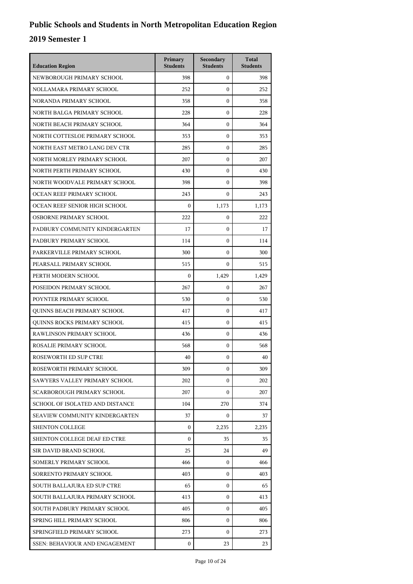| <b>Education Region</b>               | Primary<br><b>Students</b> | Secondary<br><b>Students</b> | <b>Total</b><br><b>Students</b> |
|---------------------------------------|----------------------------|------------------------------|---------------------------------|
| NEWBOROUGH PRIMARY SCHOOL             | 398                        | $\mathbf{0}$                 | 398                             |
| NOLLAMARA PRIMARY SCHOOL              | 252                        | $\mathbf{0}$                 | 252                             |
| NORANDA PRIMARY SCHOOL                | 358                        | $\mathbf{0}$                 | 358                             |
| NORTH BALGA PRIMARY SCHOOL            | 228                        | $\boldsymbol{0}$             | 228                             |
| NORTH BEACH PRIMARY SCHOOL            | 364                        | $\boldsymbol{0}$             | 364                             |
| NORTH COTTESLOE PRIMARY SCHOOL        | 353                        | $\boldsymbol{0}$             | 353                             |
| NORTH EAST METRO LANG DEV CTR         | 285                        | $\mathbf{0}$                 | 285                             |
| NORTH MORLEY PRIMARY SCHOOL           | 207                        | $\mathbf{0}$                 | 207                             |
| NORTH PERTH PRIMARY SCHOOL            | 430                        | $\boldsymbol{0}$             | 430                             |
| NORTH WOODVALE PRIMARY SCHOOL         | 398                        | $\boldsymbol{0}$             | 398                             |
| OCEAN REEF PRIMARY SCHOOL             | 243                        | $\mathbf{0}$                 | 243                             |
| OCEAN REEF SENIOR HIGH SCHOOL         | $\mathbf{0}$               | 1,173                        | 1,173                           |
| OSBORNE PRIMARY SCHOOL                | 222                        | $\boldsymbol{0}$             | 222                             |
| PADBURY COMMUNITY KINDERGARTEN        | 17                         | $\boldsymbol{0}$             | 17                              |
| PADBURY PRIMARY SCHOOL                | 114                        | $\boldsymbol{0}$             | 114                             |
| PARKERVILLE PRIMARY SCHOOL            | 300                        | $\mathbf{0}$                 | 300                             |
| PEARSALL PRIMARY SCHOOL               | 515                        | $\Omega$                     | 515                             |
| PERTH MODERN SCHOOL                   | $\boldsymbol{0}$           | 1,429                        | 1,429                           |
| POSEIDON PRIMARY SCHOOL               | 267                        | $\boldsymbol{0}$             | 267                             |
| POYNTER PRIMARY SCHOOL                | 530                        | $\boldsymbol{0}$             | 530                             |
| QUINNS BEACH PRIMARY SCHOOL           | 417                        | $\mathbf{0}$                 | 417                             |
| QUINNS ROCKS PRIMARY SCHOOL           | 415                        | $\mathbf{0}$                 | 415                             |
| RAWLINSON PRIMARY SCHOOL              | 436                        | $\boldsymbol{0}$             | 436                             |
| ROSALIE PRIMARY SCHOOL                | 568                        | $\boldsymbol{0}$             | 568                             |
| <b>ROSEWORTH ED SUP CTRE</b>          | 40                         | $\boldsymbol{0}$             | 40                              |
| ROSEWORTH PRIMARY SCHOOL              | 309                        | 0                            | 309                             |
| SAWYERS VALLEY PRIMARY SCHOOL         | 202                        | $\Omega$                     | 202                             |
| SCARBOROUGH PRIMARY SCHOOL            | 207                        | 0                            | 207                             |
| SCHOOL OF ISOLATED AND DISTANCE       | 104                        | 270                          | 374                             |
| <b>SEAVIEW COMMUNITY KINDERGARTEN</b> | 37                         | 0                            | 37                              |
| <b>SHENTON COLLEGE</b>                | $\Omega$                   | 2,235                        | 2,235                           |
| SHENTON COLLEGE DEAF ED CTRE          | $\Omega$                   | 35                           | 35                              |
| SIR DAVID BRAND SCHOOL                | 25                         | 24                           | 49                              |
| SOMERLY PRIMARY SCHOOL                | 466                        | 0                            | 466                             |
| SORRENTO PRIMARY SCHOOL               | 403                        | 0                            | 403                             |
| SOUTH BALLAJURA ED SUP CTRE           | 65                         | 0                            | 65                              |
| SOUTH BALLAJURA PRIMARY SCHOOL        | 413                        | $\mathbf{0}$                 | 413                             |
| SOUTH PADBURY PRIMARY SCHOOL          | 405                        | 0                            | 405                             |
| SPRING HILL PRIMARY SCHOOL            | 806                        | 0                            | 806                             |
| SPRINGFIELD PRIMARY SCHOOL            | 273                        | 0                            | 273                             |
| SSEN: BEHAVIOUR AND ENGAGEMENT        | 0                          | 23                           | 23                              |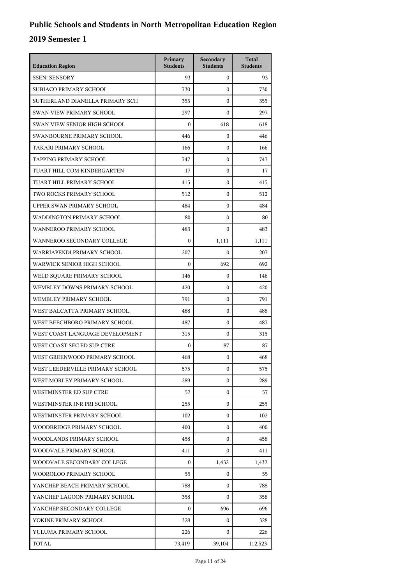| <b>Education Region</b>         | Primary<br><b>Students</b> | Secondary<br><b>Students</b> | <b>Total</b><br><b>Students</b> |
|---------------------------------|----------------------------|------------------------------|---------------------------------|
| <b>SSEN: SENSORY</b>            | 93                         | $\mathbf{0}$                 | 93                              |
| SUBJACO PRIMARY SCHOOL          | 730                        | $\mathbf{0}$                 | 730                             |
| SUTHERLAND DIANELLA PRIMARY SCH | 355                        | $\mathbf{0}$                 | 355                             |
| SWAN VIEW PRIMARY SCHOOL        | 297                        | $\mathbf{0}$                 | 297                             |
| SWAN VIEW SENIOR HIGH SCHOOL    | $\boldsymbol{0}$           | 618                          | 618                             |
| SWANBOURNE PRIMARY SCHOOL       | 446                        | $\mathbf{0}$                 | 446                             |
| TAKARI PRIMARY SCHOOL           | 166                        | $\mathbf{0}$                 | 166                             |
| TAPPING PRIMARY SCHOOL          | 747                        | $\mathbf{0}$                 | 747                             |
| TUART HILL COM KINDERGARTEN     | 17                         | $\mathbf{0}$                 | 17                              |
| TUART HILL PRIMARY SCHOOL       | 415                        | $\mathbf{0}$                 | 415                             |
| TWO ROCKS PRIMARY SCHOOL        | 512                        | $\mathbf{0}$                 | 512                             |
| UPPER SWAN PRIMARY SCHOOL       | 484                        | $\mathbf{0}$                 | 484                             |
| WADDINGTON PRIMARY SCHOOL       | 80                         | $\mathbf{0}$                 | 80                              |
| WANNEROO PRIMARY SCHOOL         | 483                        | $\mathbf{0}$                 | 483                             |
| WANNEROO SECONDARY COLLEGE      | $\boldsymbol{0}$           | 1,111                        | 1,111                           |
| WARRIAPENDI PRIMARY SCHOOL      | 207                        | $\mathbf{0}$                 | 207                             |
| WARWICK SENIOR HIGH SCHOOL      | $\Omega$                   | 692                          | 692                             |
| WELD SQUARE PRIMARY SCHOOL      | 146                        | $\mathbf{0}$                 | 146                             |
| WEMBLEY DOWNS PRIMARY SCHOOL    | 420                        | $\mathbf{0}$                 | 420                             |
| WEMBLEY PRIMARY SCHOOL          | 791                        | 0                            | 791                             |
| WEST BALCATTA PRIMARY SCHOOL    | 488                        | $\mathbf{0}$                 | 488                             |
| WEST BEECHBORO PRIMARY SCHOOL   | 487                        | $\mathbf{0}$                 | 487                             |
| WEST COAST LANGUAGE DEVELOPMENT | 315                        | $\mathbf{0}$                 | 315                             |
| WEST COAST SEC ED SUP CTRE      | $\boldsymbol{0}$           | 87                           | 87                              |
| WEST GREENWOOD PRIMARY SCHOOL   | 468                        | $\mathbf{0}$                 | 468                             |
| WEST LEEDERVILLE PRIMARY SCHOOL | 575                        | $\boldsymbol{0}$             | 575                             |
| WEST MORLEY PRIMARY SCHOOL      | 289                        | $\overline{0}$               | 289                             |
| WESTMINSTER ED SUP CTRE         | 57                         | $\overline{0}$               | 57                              |
| WESTMINSTER JNR PRI SCHOOL      | 255                        | $\mathbf{0}$                 | 255                             |
| WESTMINSTER PRIMARY SCHOOL      | 102                        | $\mathbf{0}$                 | 102                             |
| WOODBRIDGE PRIMARY SCHOOL       | 400                        | $\overline{0}$               | 400                             |
| WOODLANDS PRIMARY SCHOOL        | 458                        | $\overline{0}$               | 458                             |
| WOODVALE PRIMARY SCHOOL         | 411                        | $\overline{0}$               | 411                             |
| WOODVALE SECONDARY COLLEGE      | $\mathbf{0}$               | 1,432                        | 1,432                           |
| WOOROLOO PRIMARY SCHOOL         | 55                         | $\mathbf{0}$                 | 55                              |
| YANCHEP BEACH PRIMARY SCHOOL    | 788                        | $\mathbf{0}$                 | 788                             |
| YANCHEP LAGOON PRIMARY SCHOOL   | 358                        | $\overline{0}$               | 358                             |
| YANCHEP SECONDARY COLLEGE       | $\boldsymbol{0}$           | 696                          | 696                             |
| YOKINE PRIMARY SCHOOL           | 328                        | $\mathbf{0}$                 | 328                             |
| YULUMA PRIMARY SCHOOL           | 226                        | $\mathbf{0}$                 | 226                             |
| TOTAL                           | 73,419                     | 39,104                       | 112,523                         |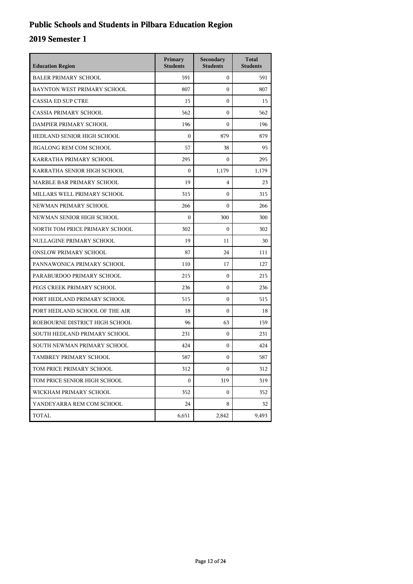## **Public Schools and Students in Pilbara Education Region**

| <b>Education Region</b>        | Primary<br><b>Students</b> | Secondary<br><b>Students</b> | <b>Total</b><br><b>Students</b> |
|--------------------------------|----------------------------|------------------------------|---------------------------------|
| <b>BALER PRIMARY SCHOOL</b>    | 591                        | 0                            | 591                             |
| BAYNTON WEST PRIMARY SCHOOL    | 807                        | 0                            | 807                             |
| <b>CASSIA ED SUP CTRE</b>      | 15                         | $\overline{0}$               | 15                              |
| CASSIA PRIMARY SCHOOL          | 562                        | 0                            | 562                             |
| DAMPIER PRIMARY SCHOOL         | 196                        | 0                            | 196                             |
| HEDLAND SENIOR HIGH SCHOOL     | $\mathbf{0}$               | 879                          | 879                             |
| JIGALONG REM COM SCHOOL        | 57                         | 38                           | 95                              |
| KARRATHA PRIMARY SCHOOL        | 295                        | $\mathbf{0}$                 | 295                             |
| KARRATHA SENIOR HIGH SCHOOL    | $\mathbf{0}$               | 1,179                        | 1,179                           |
| MARBLE BAR PRIMARY SCHOOL      | 19                         | 4                            | 23                              |
| MILLARS WELL PRIMARY SCHOOL    | 315                        | 0                            | 315                             |
| NEWMAN PRIMARY SCHOOL          | 266                        | 0                            | 266                             |
| NEWMAN SENIOR HIGH SCHOOL      | $\mathbf{0}$               | 300                          | 300                             |
| NORTH TOM PRICE PRIMARY SCHOOL | 302                        | 0                            | 302                             |
| NULLAGINE PRIMARY SCHOOL       | 19                         | 11                           | 30                              |
| ONSLOW PRIMARY SCHOOL          | 87                         | 24                           | 111                             |
| PANNAWONICA PRIMARY SCHOOL     | 110                        | 17                           | 127                             |
| PARABURDOO PRIMARY SCHOOL      | 215                        | $\mathbf{0}$                 | 215                             |
| PEGS CREEK PRIMARY SCHOOL      | 236                        | 0                            | 236                             |
| PORT HEDLAND PRIMARY SCHOOL    | 515                        | 0                            | 515                             |
| PORT HEDLAND SCHOOL OF THE AIR | 18                         | 0                            | 18                              |
| ROEBOURNE DISTRICT HIGH SCHOOL | 96                         | 63                           | 159                             |
| SOUTH HEDLAND PRIMARY SCHOOL   | 231                        | $\mathbf{0}$                 | 231                             |
| SOUTH NEWMAN PRIMARY SCHOOL    | 424                        | 0                            | 424                             |
| TAMBREY PRIMARY SCHOOL         | 587                        | 0                            | 587                             |
| TOM PRICE PRIMARY SCHOOL       | 312                        | 0                            | 312                             |
| TOM PRICE SENIOR HIGH SCHOOL   | $\boldsymbol{0}$           | 319                          | 319                             |
| WICKHAM PRIMARY SCHOOL         | 352                        | 0                            | 352                             |
| YANDEYARRA REM COM SCHOOL      | 24                         | 8                            | 32                              |
| TOTAL                          | 6,651                      | 2,842                        | 9,493                           |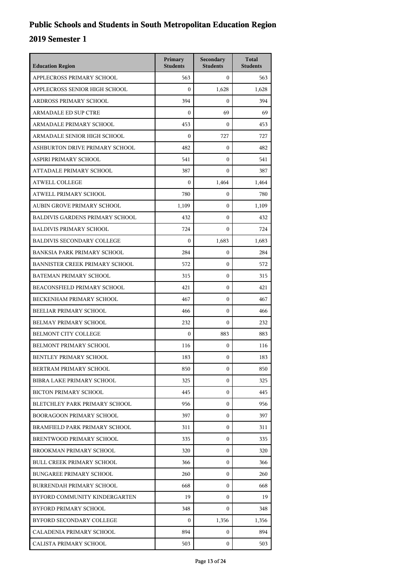| <b>Education Region</b>                | Primary<br><b>Students</b> | Secondary<br><b>Students</b> | <b>Total</b><br><b>Students</b> |
|----------------------------------------|----------------------------|------------------------------|---------------------------------|
| APPLECROSS PRIMARY SCHOOL              | 563                        | $\overline{0}$               | 563                             |
| APPLECROSS SENIOR HIGH SCHOOL          | $\mathbf{0}$               | 1,628                        | 1.628                           |
| ARDROSS PRIMARY SCHOOL                 | 394                        | $\mathbf{0}$                 | 394                             |
| <b>ARMADALE ED SUP CTRE</b>            | $\mathbf{0}$               | 69                           | 69                              |
| ARMADALE PRIMARY SCHOOL                | 453                        | $\mathbf{0}$                 | 453                             |
| ARMADALE SENIOR HIGH SCHOOL            | $\mathbf{0}$               | 727                          | 727                             |
| ASHBURTON DRIVE PRIMARY SCHOOL         | 482                        | $\mathbf{0}$                 | 482                             |
| ASPIRI PRIMARY SCHOOL                  | 541                        | $\mathbf{0}$                 | 541                             |
| ATTADALE PRIMARY SCHOOL                | 387                        | $\mathbf{0}$                 | 387                             |
| <b>ATWELL COLLEGE</b>                  | $\boldsymbol{0}$           | 1,464                        | 1,464                           |
| ATWELL PRIMARY SCHOOL                  | 780                        | $\overline{0}$               | 780                             |
| AUBIN GROVE PRIMARY SCHOOL             | 1,109                      | $\mathbf{0}$                 | 1,109                           |
| <b>BALDIVIS GARDENS PRIMARY SCHOOL</b> | 432                        | $\mathbf{0}$                 | 432                             |
| <b>BALDIVIS PRIMARY SCHOOL</b>         | 724                        | $\mathbf{0}$                 | 724                             |
| <b>BALDIVIS SECONDARY COLLEGE</b>      | $\boldsymbol{0}$           | 1.683                        | 1,683                           |
| <b>BANKSIA PARK PRIMARY SCHOOL</b>     | 284                        | $\mathbf{0}$                 | 284                             |
| <b>BANNISTER CREEK PRIMARY SCHOOL</b>  | 572                        | $\mathbf{0}$                 | 572                             |
| BATEMAN PRIMARY SCHOOL                 | 315                        | $\mathbf{0}$                 | 315                             |
| BEACONSFIELD PRIMARY SCHOOL            | 421                        | $\mathbf{0}$                 | 421                             |
| BECKENHAM PRIMARY SCHOOL               | 467                        | $\mathbf{0}$                 | 467                             |
| BEELIAR PRIMARY SCHOOL                 | 466                        | $\mathbf{0}$                 | 466                             |
| <b>BELMAY PRIMARY SCHOOL</b>           | 232                        | $\mathbf{0}$                 | 232                             |
| BELMONT CITY COLLEGE                   | $\mathbf{0}$               | 883                          | 883                             |
| BELMONT PRIMARY SCHOOL                 | 116                        | $\mathbf{0}$                 | 116                             |
| BENTLEY PRIMARY SCHOOL                 | 183                        | $\mathbf{0}$                 | 183                             |
| BERTRAM PRIMARY SCHOOL                 | 850                        | 0                            | 850                             |
| <b>BIBRA LAKE PRIMARY SCHOOL</b>       | 325                        | $\mathbf{0}$                 | 325                             |
| <b>BICTON PRIMARY SCHOOL</b>           | 445                        | $\overline{0}$               | 445                             |
| BLETCHLEY PARK PRIMARY SCHOOL          | 956                        | $\mathbf{0}$                 | 956                             |
| <b>BOORAGOON PRIMARY SCHOOL</b>        | 397                        | $\mathbf{0}$                 | 397                             |
| BRAMFIELD PARK PRIMARY SCHOOL          | 311                        | $\mathbf{0}$                 | 311                             |
| BRENTWOOD PRIMARY SCHOOL               | 335                        | $\mathbf{0}$                 | 335                             |
| BROOKMAN PRIMARY SCHOOL                | 320                        | $\overline{0}$               | 320                             |
| <b>BULL CREEK PRIMARY SCHOOL</b>       | 366                        | 0                            | 366                             |
| <b>BUNGAREE PRIMARY SCHOOL</b>         | 260                        | $\mathbf{0}$                 | 260                             |
| BURRENDAH PRIMARY SCHOOL               | 668                        | $\mathbf{0}$                 | 668                             |
| BYFORD COMMUNITY KINDERGARTEN          | 19                         | $\overline{0}$               | 19                              |
| BYFORD PRIMARY SCHOOL                  | 348                        | $\mathbf{0}$                 | 348                             |
| BYFORD SECONDARY COLLEGE               | $\mathbf{0}$               | 1,356                        | 1,356                           |
| CALADENIA PRIMARY SCHOOL               | 894                        | $\mathbf{0}$                 | 894                             |
| CALISTA PRIMARY SCHOOL                 | 503                        | $\mathbf{0}$                 | 503                             |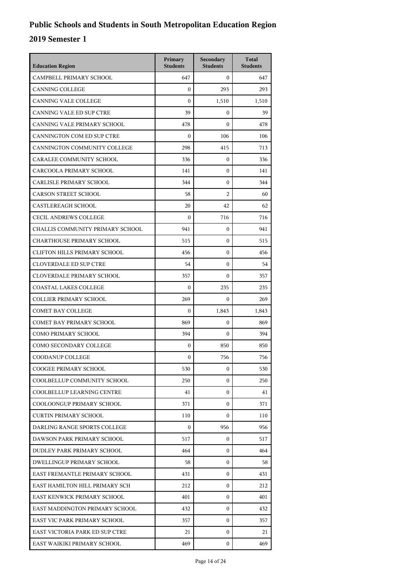| <b>Education Region</b>             | Primary<br><b>Students</b> | Secondary<br><b>Students</b> | <b>Total</b><br><b>Students</b> |
|-------------------------------------|----------------------------|------------------------------|---------------------------------|
| CAMPBELL PRIMARY SCHOOL             | 647                        | $\mathbf{0}$                 | 647                             |
| <b>CANNING COLLEGE</b>              | $\overline{0}$             | 293                          | 293                             |
| <b>CANNING VALE COLLEGE</b>         | $\mathbf{0}$               | 1,510                        | 1,510                           |
| CANNING VALE ED SUP CTRE            | 39                         | $\mathbf{0}$                 | 39                              |
| CANNING VALE PRIMARY SCHOOL         | 478                        | $\mathbf{0}$                 | 478                             |
| CANNINGTON COM ED SUP CTRE          | $\mathbf{0}$               | 106                          | 106                             |
| CANNINGTON COMMUNITY COLLEGE        | 298                        | 415                          | 713                             |
| CARALEE COMMUNITY SCHOOL            | 336                        | $\mathbf{0}$                 | 336                             |
| CARCOOLA PRIMARY SCHOOL             | 141                        | $\mathbf{0}$                 | 141                             |
| <b>CARLISLE PRIMARY SCHOOL</b>      | 344                        | $\mathbf{0}$                 | 344                             |
| <b>CARSON STREET SCHOOL</b>         | 58                         | 2                            | 60                              |
| <b>CASTLEREAGH SCHOOL</b>           | 20                         | 42                           | 62                              |
| <b>CECIL ANDREWS COLLEGE</b>        | $\mathbf{0}$               | 716                          | 716                             |
| CHALLIS COMMUNITY PRIMARY SCHOOL    | 941                        | $\mathbf{0}$                 | 941                             |
| <b>CHARTHOUSE PRIMARY SCHOOL</b>    | 515                        | $\mathbf{0}$                 | 515                             |
| <b>CLIFTON HILLS PRIMARY SCHOOL</b> | 456                        | $\mathbf{0}$                 | 456                             |
| <b>CLOVERDALE ED SUP CTRE</b>       | 54                         | $\mathbf{0}$                 | 54                              |
| CLOVERDALE PRIMARY SCHOOL           | 357                        | $\mathbf{0}$                 | 357                             |
| <b>COASTAL LAKES COLLEGE</b>        | $\mathbf{0}$               | 235                          | 235                             |
| <b>COLLIER PRIMARY SCHOOL</b>       | 269                        | $\Omega$                     | 269                             |
| <b>COMET BAY COLLEGE</b>            | $\boldsymbol{0}$           | 1,843                        | 1,843                           |
| <b>COMET BAY PRIMARY SCHOOL</b>     | 869                        | $\mathbf{0}$                 | 869                             |
| <b>COMO PRIMARY SCHOOL</b>          | 394                        | $\mathbf{0}$                 | 394                             |
| COMO SECONDARY COLLEGE              | $\mathbf{0}$               | 850                          | 850                             |
| COODANUP COLLEGE                    | $\mathbf{0}$               | 756                          | 756                             |
| COOGEE PRIMARY SCHOOL               | 530                        | 0                            | 530                             |
| COOLBELLUP COMMUNITY SCHOOL         | 250                        | $\Omega$                     | 250                             |
| <b>COOLBELLUP LEARNING CENTRE</b>   | 41                         | $\mathbf{0}$                 | 41                              |
| COOLOONGUP PRIMARY SCHOOL           | 371                        | $\mathbf{0}$                 | 371                             |
| <b>CURTIN PRIMARY SCHOOL</b>        | 110                        | $\Omega$                     | 110                             |
| DARLING RANGE SPORTS COLLEGE        | $\mathbf{0}$               | 956                          | 956                             |
| DAWSON PARK PRIMARY SCHOOL          | 517                        | $\Omega$                     | 517                             |
| DUDLEY PARK PRIMARY SCHOOL          | 464                        | $\mathbf{0}$                 | 464                             |
| DWELLINGUP PRIMARY SCHOOL           | 58                         | $\mathbf{0}$                 | 58                              |
| EAST FREMANTLE PRIMARY SCHOOL       | 431                        | 0                            | 431                             |
| EAST HAMILTON HILL PRIMARY SCH      | 212                        | $\mathbf{0}$                 | 212                             |
| EAST KENWICK PRIMARY SCHOOL         | 401                        | $\overline{0}$               | 401                             |
| EAST MADDINGTON PRIMARY SCHOOL      | 432                        | $\mathbf{0}$                 | 432                             |
| EAST VIC PARK PRIMARY SCHOOL        | 357                        | $\mathbf{0}$                 | 357                             |
| EAST VICTORIA PARK ED SUP CTRE      | 21                         | 0                            | 21                              |
| EAST WAIKIKI PRIMARY SCHOOL         | 469                        | $\overline{0}$               | 469                             |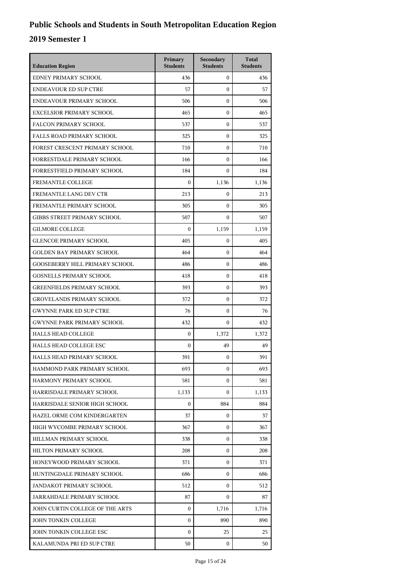| <b>Education Region</b>               | Primary<br><b>Students</b> | Secondary<br><b>Students</b> | <b>Total</b><br><b>Students</b> |
|---------------------------------------|----------------------------|------------------------------|---------------------------------|
| EDNEY PRIMARY SCHOOL                  | 436                        | $\mathbf{0}$                 | 436                             |
| <b>ENDEAVOUR ED SUP CTRE</b>          | 57                         | $\mathbf{0}$                 | 57                              |
| ENDEAVOUR PRIMARY SCHOOL              | 506                        | $\mathbf{0}$                 | 506                             |
| <b>EXCELSIOR PRIMARY SCHOOL</b>       | 465                        | $\mathbf{0}$                 | 465                             |
| <b>FALCON PRIMARY SCHOOL</b>          | 537                        | $\mathbf{0}$                 | 537                             |
| FALLS ROAD PRIMARY SCHOOL             | 325                        | $\mathbf{0}$                 | 325                             |
| FOREST CRESCENT PRIMARY SCHOOL        | 710                        | $\mathbf{0}$                 | 710                             |
| FORRESTDALE PRIMARY SCHOOL            | 166                        | $\boldsymbol{0}$             | 166                             |
| FORRESTFIELD PRIMARY SCHOOL           | 184                        | $\mathbf{0}$                 | 184                             |
| <b>FREMANTLE COLLEGE</b>              | $\boldsymbol{0}$           | 1,136                        | 1,136                           |
| FREMANTLE LANG DEV CTR                | 213                        | $\mathbf{0}$                 | 213                             |
| FREMANTLE PRIMARY SCHOOL              | 305                        | $\mathbf{0}$                 | 305                             |
| <b>GIBBS STREET PRIMARY SCHOOL</b>    | 507                        | $\mathbf{0}$                 | 507                             |
| <b>GILMORE COLLEGE</b>                | $\boldsymbol{0}$           | 1,159                        | 1,159                           |
| <b>GLENCOE PRIMARY SCHOOL</b>         | 405                        | 0                            | 405                             |
| <b>GOLDEN BAY PRIMARY SCHOOL</b>      | 464                        | $\mathbf{0}$                 | 464                             |
| <b>GOOSEBERRY HILL PRIMARY SCHOOL</b> | 486                        | $\boldsymbol{0}$             | 486                             |
| <b>GOSNELLS PRIMARY SCHOOL</b>        | 418                        | $\boldsymbol{0}$             | 418                             |
| <b>GREENFIELDS PRIMARY SCHOOL</b>     | 393                        | $\boldsymbol{0}$             | 393                             |
| <b>GROVELANDS PRIMARY SCHOOL</b>      | 372                        | $\mathbf{0}$                 | 372                             |
| <b>GWYNNE PARK ED SUP CTRE</b>        | 76                         | $\mathbf{0}$                 | 76                              |
| <b>GWYNNE PARK PRIMARY SCHOOL</b>     | 432                        | $\mathbf{0}$                 | 432                             |
| <b>HALLS HEAD COLLEGE</b>             | $\mathbf{0}$               | 1,372                        | 1,372                           |
| HALLS HEAD COLLEGE ESC                | $\boldsymbol{0}$           | 49                           | 49                              |
| HALLS HEAD PRIMARY SCHOOL             | 391                        | 0                            | 391                             |
| HAMMOND PARK PRIMARY SCHOOL           | 693                        | $\boldsymbol{0}$             | 693                             |
| HARMONY PRIMARY SCHOOL                | 581                        | $\mathbf{0}$                 | 581                             |
| HARRISDALE PRIMARY SCHOOL             | 1,133                      | 0                            | 1,133                           |
| HARRISDALE SENIOR HIGH SCHOOL         | $\Omega$                   | 884                          | 884                             |
| HAZEL ORME COM KINDERGARTEN           | 37                         | $\mathbf{0}$                 | 37                              |
| HIGH WYCOMBE PRIMARY SCHOOL           | 367                        | 0                            | 367                             |
| HILLMAN PRIMARY SCHOOL                | 338                        | $\mathbf{0}$                 | 338                             |
| HILTON PRIMARY SCHOOL                 | 208                        | $\mathbf{0}$                 | 208                             |
| HONEYWOOD PRIMARY SCHOOL              | 371                        | 0                            | 371                             |
| HUNTINGDALE PRIMARY SCHOOL            | 686                        | $\mathbf{0}$                 | 686                             |
| JANDAKOT PRIMARY SCHOOL               | 512                        | $\mathbf{0}$                 | 512                             |
| JARRAHDALE PRIMARY SCHOOL             | 87                         | $\mathbf{0}$                 | 87                              |
| JOHN CURTIN COLLEGE OF THE ARTS       | $\mathbf{0}$               | 1,716                        | 1,716                           |
| JOHN TONKIN COLLEGE                   | $\mathbf{0}$               | 890                          | 890                             |
| JOHN TONKIN COLLEGE ESC               | $\boldsymbol{0}$           | 25                           | 25                              |
| KALAMUNDA PRI ED SUP CTRE             | 50                         | 0                            | 50                              |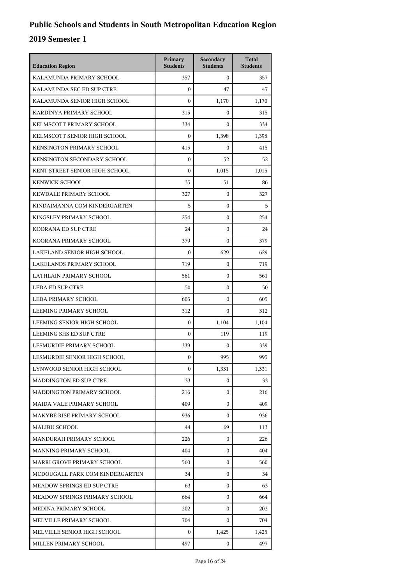| <b>Education Region</b>         | Primary<br><b>Students</b> | Secondary<br><b>Students</b> | <b>Total</b><br><b>Students</b> |
|---------------------------------|----------------------------|------------------------------|---------------------------------|
| KALAMUNDA PRIMARY SCHOOL        | 357                        | $\mathbf{0}$                 | 357                             |
| KALAMUNDA SEC ED SUP CTRE       | $\boldsymbol{0}$           | 47                           | 47                              |
| KALAMUNDA SENIOR HIGH SCHOOL    | $\theta$                   | 1,170                        | 1,170                           |
| KARDINYA PRIMARY SCHOOL         | 315                        | $\boldsymbol{0}$             | 315                             |
| KELMSCOTT PRIMARY SCHOOL        | 334                        | $\Omega$                     | 334                             |
| KELMSCOTT SENIOR HIGH SCHOOL    | $\overline{0}$             | 1,398                        | 1,398                           |
| KENSINGTON PRIMARY SCHOOL       | 415                        | $\boldsymbol{0}$             | 415                             |
| KENSINGTON SECONDARY SCHOOL     | $\mathbf{0}$               | 52                           | 52                              |
| KENT STREET SENIOR HIGH SCHOOL  | $\boldsymbol{0}$           | 1,015                        | 1,015                           |
| <b>KENWICK SCHOOL</b>           | 35                         | 51                           | 86                              |
| KEWDALE PRIMARY SCHOOL          | 327                        | $\mathbf{0}$                 | 327                             |
| KINDAIMANNA COM KINDERGARTEN    | 5                          | $\mathbf{0}$                 | 5                               |
| KINGSLEY PRIMARY SCHOOL         | 254                        | $\boldsymbol{0}$             | 254                             |
| KOORANA ED SUP CTRE             | 24                         | $\boldsymbol{0}$             | 24                              |
| KOORANA PRIMARY SCHOOL          | 379                        | $\mathbf{0}$                 | 379                             |
| LAKELAND SENIOR HIGH SCHOOL     | $\boldsymbol{0}$           | 629                          | 629                             |
| <b>LAKELANDS PRIMARY SCHOOL</b> | 719                        | $\boldsymbol{0}$             | 719                             |
| LATHLAIN PRIMARY SCHOOL         | 561                        | $\boldsymbol{0}$             | 561                             |
| <b>LEDA ED SUP CTRE</b>         | 50                         | $\boldsymbol{0}$             | 50                              |
| LEDA PRIMARY SCHOOL             | 605                        | $\mathbf{0}$                 | 605                             |
| LEEMING PRIMARY SCHOOL          | 312                        | $\mathbf{0}$                 | 312                             |
| LEEMING SENIOR HIGH SCHOOL      | $\boldsymbol{0}$           | 1,104                        | 1,104                           |
| LEEMING SHS ED SUP CTRE         | $\mathbf{0}$               | 119                          | 119                             |
| LESMURDIE PRIMARY SCHOOL        | 339                        | $\mathbf{0}$                 | 339                             |
| LESMURDIE SENIOR HIGH SCHOOL    | $\mathbf{0}$               | 995                          | 995                             |
| LYNWOOD SENIOR HIGH SCHOOL      | $\boldsymbol{0}$           | 1,331                        | 1,331                           |
| MADDINGTON ED SUP CTRE          | 33                         | 0                            | 33                              |
| MADDINGTON PRIMARY SCHOOL       | 216                        | $\mathbf{0}$                 | 216                             |
| MAIDA VALE PRIMARY SCHOOL       | 409                        | 0                            | 409                             |
| MAKYBE RISE PRIMARY SCHOOL      | 936                        | $\mathbf{0}$                 | 936                             |
| <b>MALIBU SCHOOL</b>            | 44                         | 69                           | 113                             |
| MANDURAH PRIMARY SCHOOL         | 226                        | $\mathbf{0}$                 | 226                             |
| MANNING PRIMARY SCHOOL          | 404                        | $\mathbf{0}$                 | 404                             |
| MARRI GROVE PRIMARY SCHOOL      | 560                        | 0                            | 560                             |
| MCDOUGALL PARK COM KINDERGARTEN | 34                         | $\mathbf{0}$                 | 34                              |
| MEADOW SPRINGS ED SUP CTRE      | 63                         | $\mathbf{0}$                 | 63                              |
| MEADOW SPRINGS PRIMARY SCHOOL   | 664                        | $\mathbf{0}$                 | 664                             |
| MEDINA PRIMARY SCHOOL           | 202                        | $\mathbf{0}$                 | 202                             |
| MELVILLE PRIMARY SCHOOL         | 704                        | 0                            | 704                             |
| MELVILLE SENIOR HIGH SCHOOL     | 0                          | 1,425                        | 1,425                           |
| MILLEN PRIMARY SCHOOL           | 497                        | 0                            | 497                             |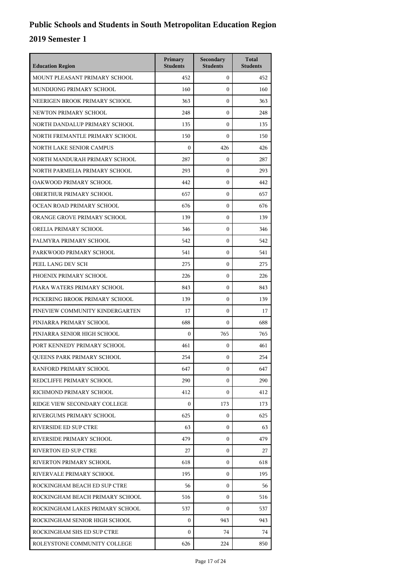| <b>Education Region</b>         | Primary<br><b>Students</b> | Secondary<br><b>Students</b> | <b>Total</b><br><b>Students</b> |
|---------------------------------|----------------------------|------------------------------|---------------------------------|
| MOUNT PLEASANT PRIMARY SCHOOL   | 452                        | $\mathbf{0}$                 | 452                             |
| MUNDLIONG PRIMARY SCHOOL        | 160                        | $\mathbf{0}$                 | 160                             |
| NEERIGEN BROOK PRIMARY SCHOOL   | 363                        | $\mathbf{0}$                 | 363                             |
| NEWTON PRIMARY SCHOOL           | 248                        | $\mathbf{0}$                 | 248                             |
| NORTH DANDALUP PRIMARY SCHOOL   | 135                        | $\mathbf{0}$                 | 135                             |
| NORTH FREMANTLE PRIMARY SCHOOL  | 150                        | $\mathbf{0}$                 | 150                             |
| <b>NORTH LAKE SENIOR CAMPUS</b> | $\boldsymbol{0}$           | 426                          | 426                             |
| NORTH MANDURAH PRIMARY SCHOOL   | 287                        | $\mathbf{0}$                 | 287                             |
| NORTH PARMELIA PRIMARY SCHOOL   | 293                        | $\mathbf{0}$                 | 293                             |
| OAKWOOD PRIMARY SCHOOL          | 442                        | $\mathbf{0}$                 | 442                             |
| OBERTHUR PRIMARY SCHOOL         | 657                        | $\mathbf{0}$                 | 657                             |
| OCEAN ROAD PRIMARY SCHOOL       | 676                        | $\mathbf{0}$                 | 676                             |
| ORANGE GROVE PRIMARY SCHOOL     | 139                        | $\mathbf{0}$                 | 139                             |
| ORELIA PRIMARY SCHOOL           | 346                        | $\mathbf{0}$                 | 346                             |
| PALMYRA PRIMARY SCHOOL          | 542                        | $\mathbf{0}$                 | 542                             |
| PARKWOOD PRIMARY SCHOOL         | 541                        | $\mathbf{0}$                 | 541                             |
| PEEL LANG DEV SCH               | 275                        | $\mathbf{0}$                 | 275                             |
| PHOENIX PRIMARY SCHOOL          | 226                        | $\mathbf{0}$                 | 226                             |
| PIARA WATERS PRIMARY SCHOOL     | 843                        | $\mathbf{0}$                 | 843                             |
| PICKERING BROOK PRIMARY SCHOOL  | 139                        | $\mathbf{0}$                 | 139                             |
| PINEVIEW COMMUNITY KINDERGARTEN | 17                         | $\mathbf{0}$                 | 17                              |
| PINJARRA PRIMARY SCHOOL         | 688                        | $\mathbf{0}$                 | 688                             |
| PINJARRA SENIOR HIGH SCHOOL     | $\mathbf{0}$               | 765                          | 765                             |
| PORT KENNEDY PRIMARY SCHOOL     | 461                        | $\mathbf{0}$                 | 461                             |
| QUEENS PARK PRIMARY SCHOOL      | 254                        | $\mathbf{0}$                 | 254                             |
| RANFORD PRIMARY SCHOOL          | 647                        | 0                            | 647                             |
| REDCLIFFE PRIMARY SCHOOL        | 290                        | $\mathbf{0}$                 | 290                             |
| RICHMOND PRIMARY SCHOOL         | 412                        | $\overline{0}$               | 412                             |
| RIDGE VIEW SECONDARY COLLEGE    | $\mathbf{0}$               | 173                          | 173                             |
| RIVERGUMS PRIMARY SCHOOL        | 625                        | $\mathbf{0}$                 | 625                             |
| RIVERSIDE ED SUP CTRE           | 63                         | $\mathbf{0}$                 | 63                              |
| RIVERSIDE PRIMARY SCHOOL        | 479                        | $\mathbf{0}$                 | 479                             |
| <b>RIVERTON ED SUP CTRE</b>     | 27                         | $\overline{0}$               | 27                              |
| RIVERTON PRIMARY SCHOOL         | 618                        | 0                            | 618                             |
| RIVERVALE PRIMARY SCHOOL        | 195                        | $\mathbf{0}$                 | 195                             |
| ROCKINGHAM BEACH ED SUP CTRE    | 56                         | $\mathbf{0}$                 | 56                              |
| ROCKINGHAM BEACH PRIMARY SCHOOL | 516                        | $\Omega$                     | 516                             |
| ROCKINGHAM LAKES PRIMARY SCHOOL | 537                        | $\Omega$                     | 537                             |
| ROCKINGHAM SENIOR HIGH SCHOOL   | $\mathbf{0}$               | 943                          | 943                             |
| ROCKINGHAM SHS ED SUP CTRE      | $\mathbf{0}$               | 74                           | 74                              |
| ROLEYSTONE COMMUNITY COLLEGE    | 626                        | 224                          | 850                             |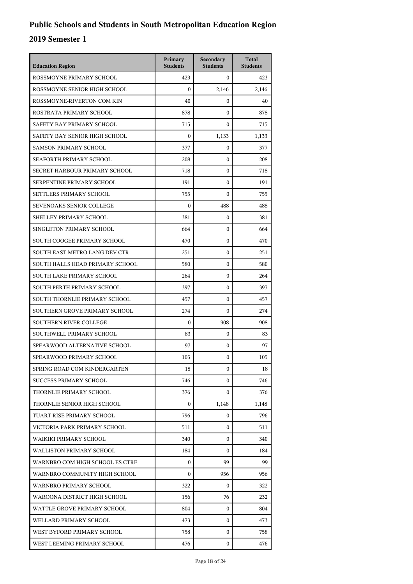| <b>Education Region</b>         | Primary<br><b>Students</b> | Secondary<br><b>Students</b> | <b>Total</b><br><b>Students</b> |
|---------------------------------|----------------------------|------------------------------|---------------------------------|
| ROSSMOYNE PRIMARY SCHOOL        | 423                        | $\mathbf{0}$                 | 423                             |
| ROSSMOYNE SENIOR HIGH SCHOOL    | $\mathbf{0}$               | 2,146                        | 2,146                           |
| ROSSMOYNE-RIVERTON COM KIN      | 40                         | $\boldsymbol{0}$             | 40                              |
| ROSTRATA PRIMARY SCHOOL         | 878                        | $\mathbf{0}$                 | 878                             |
| SAFETY BAY PRIMARY SCHOOL       | 715                        | $\mathbf{0}$                 | 715                             |
| SAFETY BAY SENIOR HIGH SCHOOL   | $\mathbf{0}$               | 1,133                        | 1,133                           |
| <b>SAMSON PRIMARY SCHOOL</b>    | 377                        | $\mathbf{0}$                 | 377                             |
| SEAFORTH PRIMARY SCHOOL         | 208                        | $\boldsymbol{0}$             | 208                             |
| SECRET HARBOUR PRIMARY SCHOOL   | 718                        | $\mathbf{0}$                 | 718                             |
| SERPENTINE PRIMARY SCHOOL       | 191                        | $\mathbf{0}$                 | 191                             |
| SETTLERS PRIMARY SCHOOL         | 755                        | $\mathbf{0}$                 | 755                             |
| SEVENOAKS SENIOR COLLEGE        | $\mathbf{0}$               | 488                          | 488                             |
| SHELLEY PRIMARY SCHOOL          | 381                        | $\boldsymbol{0}$             | 381                             |
| SINGLETON PRIMARY SCHOOL        | 664                        | $\boldsymbol{0}$             | 664                             |
| SOUTH COOGEE PRIMARY SCHOOL     | 470                        | $\mathbf{0}$                 | 470                             |
| SOUTH EAST METRO LANG DEV CTR   | 251                        | $\mathbf{0}$                 | 251                             |
| SOUTH HALLS HEAD PRIMARY SCHOOL | 580                        | $\mathbf{0}$                 | 580                             |
| SOUTH LAKE PRIMARY SCHOOL       | 264                        | $\boldsymbol{0}$             | 264                             |
| SOUTH PERTH PRIMARY SCHOOL      | 397                        | $\boldsymbol{0}$             | 397                             |
| SOUTH THORNLIE PRIMARY SCHOOL   | 457                        | $\mathbf{0}$                 | 457                             |
| SOUTHERN GROVE PRIMARY SCHOOL   | 274                        | $\mathbf{0}$                 | 274                             |
| <b>SOUTHERN RIVER COLLEGE</b>   | $\mathbf{0}$               | 908                          | 908                             |
| SOUTHWELL PRIMARY SCHOOL        | 83                         | $\boldsymbol{0}$             | 83                              |
| SPEARWOOD ALTERNATIVE SCHOOL    | 97                         | $\mathbf{0}$                 | 97                              |
| SPEARWOOD PRIMARY SCHOOL        | 105                        | $\mathbf{0}$                 | 105                             |
| SPRING ROAD COM KINDERGARTEN    | 18                         | 0                            | 18                              |
| <b>SUCCESS PRIMARY SCHOOL</b>   | 746                        | $\Omega$                     | 746                             |
| THORNLIE PRIMARY SCHOOL         | 376                        | $\mathbf{0}$                 | 376                             |
| THORNLIE SENIOR HIGH SCHOOL     | $\mathbf{0}$               | 1,148                        | 1,148                           |
| TUART RISE PRIMARY SCHOOL       | 796                        | $\mathbf{0}$                 | 796                             |
| VICTORIA PARK PRIMARY SCHOOL    | 511                        | $\Omega$                     | 511                             |
| WAIKIKI PRIMARY SCHOOL          | 340                        | $\Omega$                     | 340                             |
| WALLISTON PRIMARY SCHOOL        | 184                        | 0                            | 184                             |
| WARNBRO COM HIGH SCHOOL ES CTRE | $\mathbf{0}$               | 99                           | 99                              |
| WARNBRO COMMUNITY HIGH SCHOOL   | $\mathbf{0}$               | 956                          | 956                             |
| WARNBRO PRIMARY SCHOOL          | 322                        | $\Omega$                     | 322                             |
| WAROONA DISTRICT HIGH SCHOOL    | 156                        | 76                           | 232                             |
| WATTLE GROVE PRIMARY SCHOOL     | 804                        | 0                            | 804                             |
| WELLARD PRIMARY SCHOOL          | 473                        | $\mathbf{0}$                 | 473                             |
| WEST BYFORD PRIMARY SCHOOL      | 758                        | $\mathbf{0}$                 | 758                             |
| WEST LEEMING PRIMARY SCHOOL     | 476                        | $\mathbf{0}$                 | 476                             |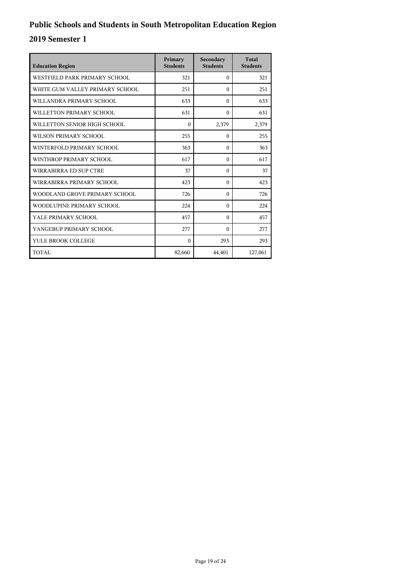| <b>Education Region</b>         | Primary<br><b>Students</b> | Secondary<br><b>Students</b> | <b>Total</b><br><b>Students</b> |
|---------------------------------|----------------------------|------------------------------|---------------------------------|
| WESTFIELD PARK PRIMARY SCHOOL   | 321                        | $\Omega$                     | 321                             |
| WHITE GUM VALLEY PRIMARY SCHOOL | 251                        | $\Omega$                     | 251                             |
| WILLANDRA PRIMARY SCHOOL        | 633                        | $\Omega$                     | 633                             |
| WILLETTON PRIMARY SCHOOL        | 631                        | $\theta$                     | 631                             |
| WILLETTON SENIOR HIGH SCHOOL    | $\mathbf{0}$               | 2,379                        | 2,379                           |
| WILSON PRIMARY SCHOOL           | 255                        | $\Omega$                     | 255                             |
| WINTERFOLD PRIMARY SCHOOL       | 363                        | $\Omega$                     | 363                             |
| WINTHROP PRIMARY SCHOOL         | 617                        | $\theta$                     | 617                             |
| WIRRABIRRA ED SUP CTRE          | 37                         | $\theta$                     | 37                              |
| WIRRABIRRA PRIMARY SCHOOL       | 423                        | $\Omega$                     | 423                             |
| WOODLAND GROVE PRIMARY SCHOOL   | 726                        | $\Omega$                     | 726                             |
| WOODLUPINE PRIMARY SCHOOL       | 224                        | $\theta$                     | 224                             |
| YALE PRIMARY SCHOOL             | 457                        | $\theta$                     | 457                             |
| YANGEBUP PRIMARY SCHOOL         | 277                        | $\Omega$                     | 277                             |
| YULE BROOK COLLEGE              | $\theta$                   | 293                          | 293                             |
| TOTAL                           | 82,660                     | 44,401                       | 127,061                         |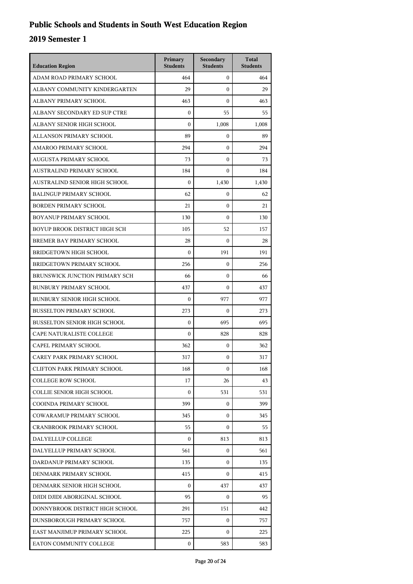| <b>Education Region</b>             | Primary<br><b>Students</b> | Secondary<br><b>Students</b> | <b>Total</b><br><b>Students</b> |
|-------------------------------------|----------------------------|------------------------------|---------------------------------|
| ADAM ROAD PRIMARY SCHOOL            | 464                        | $\mathbf{0}$                 | 464                             |
| ALBANY COMMUNITY KINDERGARTEN       | 29                         | $\mathbf{0}$                 | 29                              |
| ALBANY PRIMARY SCHOOL               | 463                        | $\mathbf{0}$                 | 463                             |
| ALBANY SECONDARY ED SUP CTRE        | $\boldsymbol{0}$           | 55                           | 55                              |
| ALBANY SENIOR HIGH SCHOOL           | $\mathbf{0}$               | 1,008                        | 1,008                           |
| ALLANSON PRIMARY SCHOOL             | 89                         | $\boldsymbol{0}$             | 89                              |
| AMAROO PRIMARY SCHOOL               | 294                        | $\mathbf{0}$                 | 294                             |
| AUGUSTA PRIMARY SCHOOL              | 73                         | $\mathbf{0}$                 | 73                              |
| AUSTRALIND PRIMARY SCHOOL           | 184                        | $\boldsymbol{0}$             | 184                             |
| AUSTRALIND SENIOR HIGH SCHOOL       | $\theta$                   | 1,430                        | 1,430                           |
| <b>BALINGUP PRIMARY SCHOOL</b>      | 62                         | $\boldsymbol{0}$             | 62                              |
| <b>BORDEN PRIMARY SCHOOL</b>        | 21                         | $\mathbf{0}$                 | 21                              |
| BOYANUP PRIMARY SCHOOL              | 130                        | $\mathbf{0}$                 | 130                             |
| BOYUP BROOK DISTRICT HIGH SCH       | 105                        | 52                           | 157                             |
| BREMER BAY PRIMARY SCHOOL           | 28                         | $\boldsymbol{0}$             | 28                              |
| <b>BRIDGETOWN HIGH SCHOOL</b>       | $\boldsymbol{0}$           | 191                          | 191                             |
| BRIDGETOWN PRIMARY SCHOOL           | 256                        | $\mathbf{0}$                 | 256                             |
| BRUNSWICK JUNCTION PRIMARY SCH      | 66                         | $\mathbf{0}$                 | 66                              |
| <b>BUNBURY PRIMARY SCHOOL</b>       | 437                        | $\boldsymbol{0}$             | 437                             |
| <b>BUNBURY SENIOR HIGH SCHOOL</b>   | 0                          | 977                          | 977                             |
| <b>BUSSELTON PRIMARY SCHOOL</b>     | 273                        | $\boldsymbol{0}$             | 273                             |
| <b>BUSSELTON SENIOR HIGH SCHOOL</b> | $\mathbf{0}$               | 695                          | 695                             |
| CAPE NATURALISTE COLLEGE            | $\mathbf{0}$               | 828                          | 828                             |
| CAPEL PRIMARY SCHOOL                | 362                        | $\boldsymbol{0}$             | 362                             |
| CAREY PARK PRIMARY SCHOOL           | 317                        | $\mathbf{0}$                 | 317                             |
| <b>CLIFTON PARK PRIMARY SCHOOL</b>  | 168                        | $\mathbf{0}$                 | 168                             |
| <b>COLLEGE ROW SCHOOL</b>           | 17                         | 26                           | 43                              |
| COLLIE SENIOR HIGH SCHOOL           | $\Omega$                   | 531                          | 531                             |
| COOINDA PRIMARY SCHOOL              | 399                        | $\mathbf{0}$                 | 399                             |
| <b>COWARAMUP PRIMARY SCHOOL</b>     | 345                        | $\mathbf{0}$                 | 345                             |
| <b>CRANBROOK PRIMARY SCHOOL</b>     | 55                         | 0                            | 55                              |
| DALYELLUP COLLEGE                   | $\Omega$                   | 813                          | 813                             |
| DALYELLUP PRIMARY SCHOOL            | 561                        | 0                            | 561                             |
| DARDANUP PRIMARY SCHOOL             | 135                        | $\mathbf{0}$                 | 135                             |
| DENMARK PRIMARY SCHOOL              | 415                        | 0                            | 415                             |
| DENMARK SENIOR HIGH SCHOOL          | $\Omega$                   | 437                          | 437                             |
| DJIDI DJIDI ABORIGINAL SCHOOL       | 95                         | $\mathbf{0}$                 | 95                              |
| DONNYBROOK DISTRICT HIGH SCHOOL     | 291                        | 151                          | 442                             |
| DUNSBOROUGH PRIMARY SCHOOL          | 757                        | $\mathbf{0}$                 | 757                             |
| EAST MANJIMUP PRIMARY SCHOOL        | 225                        | $\Omega$                     | 225                             |
| EATON COMMUNITY COLLEGE             | $\mathbf{0}$               | 583                          | 583                             |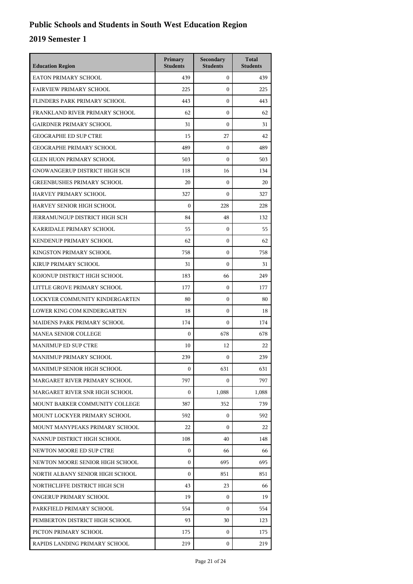| <b>Education Region</b>           | Primary<br><b>Students</b> | Secondary<br><b>Students</b> | <b>Total</b><br><b>Students</b> |
|-----------------------------------|----------------------------|------------------------------|---------------------------------|
| EATON PRIMARY SCHOOL              | 439                        | $\mathbf{0}$                 | 439                             |
| <b>FAIRVIEW PRIMARY SCHOOL</b>    | 225                        | $\mathbf{0}$                 | 225                             |
| FLINDERS PARK PRIMARY SCHOOL      | 443                        | $\mathbf{0}$                 | 443                             |
| FRANKLAND RIVER PRIMARY SCHOOL    | 62                         | $\mathbf{0}$                 | 62                              |
| GAIRDNER PRIMARY SCHOOL           | 31                         | $\mathbf{0}$                 | 31                              |
| <b>GEOGRAPHE ED SUP CTRE</b>      | 15                         | 27                           | 42                              |
| <b>GEOGRAPHE PRIMARY SCHOOL</b>   | 489                        | $\mathbf{0}$                 | 489                             |
| <b>GLEN HUON PRIMARY SCHOOL</b>   | 503                        | $\mathbf{0}$                 | 503                             |
| GNOWANGERUP DISTRICT HIGH SCH     | 118                        | 16                           | 134                             |
| <b>GREENBUSHES PRIMARY SCHOOL</b> | 20                         | $\mathbf{0}$                 | 20                              |
| HARVEY PRIMARY SCHOOL             | 327                        | $\mathbf{0}$                 | 327                             |
| HARVEY SENIOR HIGH SCHOOL         | $\boldsymbol{0}$           | 228                          | 228                             |
| JERRAMUNGUP DISTRICT HIGH SCH     | 84                         | 48                           | 132                             |
| KARRIDALE PRIMARY SCHOOL          | 55                         | $\mathbf{0}$                 | 55                              |
| KENDENUP PRIMARY SCHOOL           | 62                         | $\mathbf{0}$                 | 62                              |
| KINGSTON PRIMARY SCHOOL           | 758                        | $\mathbf{0}$                 | 758                             |
| KIRUP PRIMARY SCHOOL              | 31                         | $\mathbf{0}$                 | 31                              |
| KOJONUP DISTRICT HIGH SCHOOL      | 183                        | 66                           | 249                             |
| LITTLE GROVE PRIMARY SCHOOL       | 177                        | $\boldsymbol{0}$             | 177                             |
| LOCKYER COMMUNITY KINDERGARTEN    | 80                         | $\mathbf{0}$                 | 80                              |
| LOWER KING COM KINDERGARTEN       | 18                         | $\mathbf{0}$                 | 18                              |
| MAIDENS PARK PRIMARY SCHOOL       | 174                        | $\mathbf{0}$                 | 174                             |
| <b>MANEA SENIOR COLLEGE</b>       | $\mathbf{0}$               | 678                          | 678                             |
| <b>MANJIMUP ED SUP CTRE</b>       | 10                         | 12                           | 22                              |
| MANJIMUP PRIMARY SCHOOL           | 239                        | $\mathbf{0}$                 | 239                             |
| MANJIMUP SENIOR HIGH SCHOOL       | $\boldsymbol{0}$           | 631                          | 631                             |
| MARGARET RIVER PRIMARY SCHOOL     | 797                        | 0                            | 797                             |
| MARGARET RIVER SNR HIGH SCHOOL    | $\boldsymbol{0}$           | 1,088                        | 1,088                           |
| MOUNT BARKER COMMUNITY COLLEGE    | 387                        | 352                          | 739                             |
| MOUNT LOCKYER PRIMARY SCHOOL      | 592                        | 0                            | 592                             |
| MOUNT MANYPEAKS PRIMARY SCHOOL    | 22                         | 0                            | 22                              |
| NANNUP DISTRICT HIGH SCHOOL       | 108                        | 40                           | 148                             |
| NEWTON MOORE ED SUP CTRE          | $\boldsymbol{0}$           | 66                           | 66                              |
| NEWTON MOORE SENIOR HIGH SCHOOL   | $\boldsymbol{0}$           | 695                          | 695                             |
| NORTH ALBANY SENIOR HIGH SCHOOL   | $\boldsymbol{0}$           | 851                          | 851                             |
| NORTHCLIFFE DISTRICT HIGH SCH     | 43                         | 23                           | 66                              |
| ONGERUP PRIMARY SCHOOL            | 19                         | $\mathbf{0}$                 | 19                              |
| PARKFIELD PRIMARY SCHOOL          | 554                        | $\Omega$                     | 554                             |
| PEMBERTON DISTRICT HIGH SCHOOL    | 93                         | 30                           | 123                             |
| PICTON PRIMARY SCHOOL             | 175                        | 0                            | 175                             |
| RAPIDS LANDING PRIMARY SCHOOL     | 219                        | $\mathbf{0}$                 | 219                             |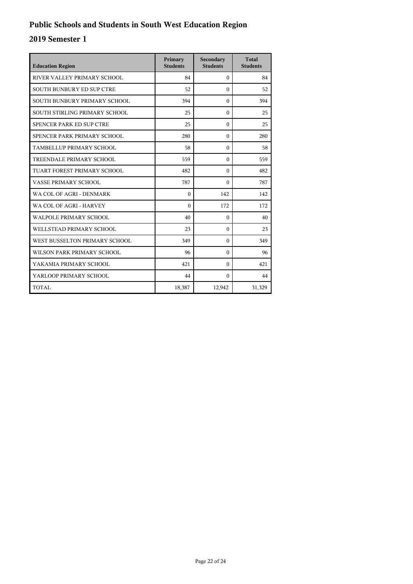| <b>Education Region</b>          | Primary<br><b>Students</b> | Secondary<br><b>Students</b> | <b>Total</b><br><b>Students</b> |
|----------------------------------|----------------------------|------------------------------|---------------------------------|
| RIVER VALLEY PRIMARY SCHOOL      | 84                         | $\Omega$                     | 84                              |
| <b>SOUTH BUNBURY ED SUP CTRE</b> | 52                         | $\Omega$                     | 52                              |
| SOUTH BUNBURY PRIMARY SCHOOL     | 394                        | $\Omega$                     | 394                             |
| SOUTH STIRLING PRIMARY SCHOOL    | 25                         | $\Omega$                     | 25                              |
| SPENCER PARK ED SUP CTRE         | 25                         | $\Omega$                     | 25                              |
| SPENCER PARK PRIMARY SCHOOL      | 280                        | $\Omega$                     | 280                             |
| TAMBELLUP PRIMARY SCHOOL         | 58                         | $\theta$                     | 58                              |
| TREENDALE PRIMARY SCHOOL         | 559                        | $\Omega$                     | 559                             |
| TUART FOREST PRIMARY SCHOOL      | 482                        | $\Omega$                     | 482                             |
| VASSE PRIMARY SCHOOL             | 787                        | $\Omega$                     | 787                             |
| WA COL OF AGRI - DENMARK         | $\theta$                   | 142                          | 142                             |
| WA COL OF AGRI - HARVEY          | $\theta$                   | 172                          | 172                             |
| WALPOLE PRIMARY SCHOOL           | 40                         | $\Omega$                     | 40                              |
| WELLSTEAD PRIMARY SCHOOL         | 23                         | $\Omega$                     | 23                              |
| WEST BUSSELTON PRIMARY SCHOOL    | 349                        | $\Omega$                     | 349                             |
| WILSON PARK PRIMARY SCHOOL       | 96                         | $\Omega$                     | 96                              |
| YAKAMIA PRIMARY SCHOOL           | 421                        | $\theta$                     | 421                             |
| YARLOOP PRIMARY SCHOOL           | 44                         | $\Omega$                     | 44                              |
| TOTAL                            | 18,387                     | 12,942                       | 31,329                          |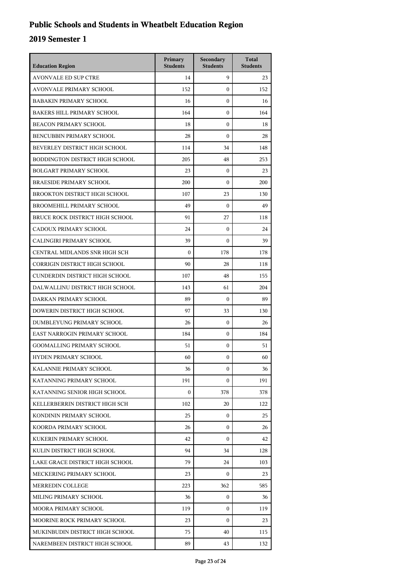## **Public Schools and Students in Wheatbelt Education Region**

| <b>Education Region</b>           | Primary<br><b>Students</b> | Secondary<br><b>Students</b> | <b>Total</b><br><b>Students</b> |
|-----------------------------------|----------------------------|------------------------------|---------------------------------|
| <b>AVONVALE ED SUP CTRE</b>       | 14                         | 9                            | 23                              |
| AVONVALE PRIMARY SCHOOL           | 152                        | $\mathbf{0}$                 | 152                             |
| <b>BABAKIN PRIMARY SCHOOL</b>     | 16                         | $\mathbf{0}$                 | 16                              |
| <b>BAKERS HILL PRIMARY SCHOOL</b> | 164                        | $\mathbf{0}$                 | 164                             |
| <b>BEACON PRIMARY SCHOOL</b>      | 18                         | $\mathbf{0}$                 | 18                              |
| <b>BENCUBBIN PRIMARY SCHOOL</b>   | 28                         | $\mathbf{0}$                 | 28                              |
| BEVERLEY DISTRICT HIGH SCHOOL     | 114                        | 34                           | 148                             |
| BODDINGTON DISTRICT HIGH SCHOOL   | 205                        | 48                           | 253                             |
| <b>BOLGART PRIMARY SCHOOL</b>     | 23                         | $\mathbf{0}$                 | 23                              |
| <b>BRAESIDE PRIMARY SCHOOL</b>    | 200                        | $\mathbf{0}$                 | 200                             |
| BROOKTON DISTRICT HIGH SCHOOL     | 107                        | 23                           | 130                             |
| <b>BROOMEHILL PRIMARY SCHOOL</b>  | 49                         | $\mathbf{0}$                 | 49                              |
| BRUCE ROCK DISTRICT HIGH SCHOOL   | 91                         | 27                           | 118                             |
| CADOUX PRIMARY SCHOOL             | 24                         | $\mathbf{0}$                 | 24                              |
| CALINGIRI PRIMARY SCHOOL          | 39                         | $\mathbf{0}$                 | 39                              |
| CENTRAL MIDLANDS SNR HIGH SCH     | $\mathbf{0}$               | 178                          | 178                             |
| CORRIGIN DISTRICT HIGH SCHOOL     | 90                         | 28                           | 118                             |
| CUNDERDIN DISTRICT HIGH SCHOOL    | 107                        | 48                           | 155                             |
| DALWALLINU DISTRICT HIGH SCHOOL   | 143                        | 61                           | 204                             |
| DARKAN PRIMARY SCHOOL             | 89                         | $\mathbf{0}$                 | 89                              |
| DOWERIN DISTRICT HIGH SCHOOL      | 97                         | 33                           | 130                             |
| DUMBLEYUNG PRIMARY SCHOOL         | 26                         | $\mathbf{0}$                 | 26                              |
| EAST NARROGIN PRIMARY SCHOOL      | 184                        | $\mathbf{0}$                 | 184                             |
| <b>GOOMALLING PRIMARY SCHOOL</b>  | 51                         | $\mathbf{0}$                 | 51                              |
| <b>HYDEN PRIMARY SCHOOL</b>       | 60                         | $\mathbf{0}$                 | 60                              |
| KALANNIE PRIMARY SCHOOL           | 36                         | $\mathbf{0}$                 | 36                              |
| KATANNING PRIMARY SCHOOL          | 191                        | $\Omega$                     | 191                             |
| KATANNING SENIOR HIGH SCHOOL      | $\boldsymbol{0}$           | 378                          | 378                             |
| KELLERBERRIN DISTRICT HIGH SCH    | 102                        | 20                           | 122                             |
| KONDININ PRIMARY SCHOOL           | 25                         | $\mathbf{0}$                 | 25                              |
| KOORDA PRIMARY SCHOOL             | 26                         | $\Omega$                     | 26                              |
| KUKERIN PRIMARY SCHOOL            | 42                         | $\Omega$                     | 42                              |
| KULIN DISTRICT HIGH SCHOOL        | 94                         | 34                           | 128                             |
| LAKE GRACE DISTRICT HIGH SCHOOL   | 79                         | 24                           | 103                             |
| MECKERING PRIMARY SCHOOL          | 23                         | 0                            | 23                              |
| MERREDIN COLLEGE                  | 223                        | 362                          | 585                             |
| MILING PRIMARY SCHOOL             | 36                         | 0                            | 36                              |
| MOORA PRIMARY SCHOOL              | 119                        | $\Omega$                     | 119                             |
| MOORINE ROCK PRIMARY SCHOOL       | 23                         | $\mathbf{0}$                 | 23                              |
| MUKINBUDIN DISTRICT HIGH SCHOOL   | 75                         | 40                           | 115                             |
| NAREMBEEN DISTRICT HIGH SCHOOL    | 89                         | 43                           | 132                             |